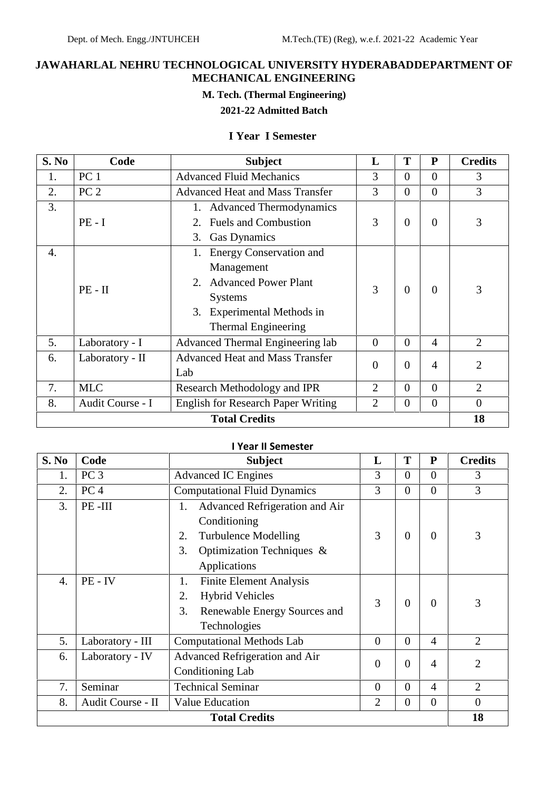## **JAWAHARLAL NEHRU TECHNOLOGICAL UNIVERSITY HYDERABADDEPARTMENT OF MECHANICAL ENGINEERING**

## **M. Tech. (Thermal Engineering)**

# **2021-22 Admitted Batch**

## **I Year I Semester**

| S. No                | Code             | <b>Subject</b><br>L<br>T<br>${\bf P}$                                                     |                           |                |                | <b>Credits</b> |
|----------------------|------------------|-------------------------------------------------------------------------------------------|---------------------------|----------------|----------------|----------------|
| 1.                   | PC <sub>1</sub>  | <b>Advanced Fluid Mechanics</b>                                                           | 3<br>$\Omega$<br>$\theta$ |                |                |                |
| 2.                   | PC <sub>2</sub>  | <b>Advanced Heat and Mass Transfer</b>                                                    | 3                         | $\Omega$       | $\theta$       | 3              |
| 3.                   |                  | <b>Advanced Thermodynamics</b>                                                            |                           |                |                |                |
|                      | $PE - I$         | <b>Fuels and Combustion</b>                                                               | 3                         | $\overline{0}$ | $\overline{0}$ | 3              |
|                      |                  | <b>Gas Dynamics</b><br>3.                                                                 |                           |                |                |                |
| 4.                   |                  | 1. Energy Conservation and                                                                |                           |                |                |                |
|                      | $PE - II$        | Management                                                                                |                           |                |                |                |
|                      |                  | 2. Advanced Power Plant                                                                   | 3<br>$\Omega$             |                | $\Omega$       | 3              |
|                      |                  | <b>Systems</b>                                                                            |                           |                |                |                |
|                      |                  | 3. Experimental Methods in                                                                |                           |                |                |                |
|                      |                  | <b>Thermal Engineering</b>                                                                |                           |                |                |                |
| 5.                   | Laboratory - I   | Advanced Thermal Engineering lab                                                          | $\overline{0}$            | $\Omega$       | $\overline{4}$ | $\overline{2}$ |
| 6.                   | Laboratory - II  | <b>Advanced Heat and Mass Transfer</b>                                                    | $\overline{0}$            | $\theta$       |                | $\overline{2}$ |
|                      |                  | Lab                                                                                       | $\overline{4}$            |                |                |                |
| 7.                   | <b>MLC</b>       | $\overline{2}$<br>$\overline{0}$<br>$\overline{0}$<br>Research Methodology and IPR        |                           | $\overline{2}$ |                |                |
| 8.                   | Audit Course - I | <b>English for Research Paper Writing</b><br>$\overline{2}$<br>$\overline{0}$<br>$\theta$ |                           | $\theta$       |                |                |
| <b>Total Credits</b> |                  |                                                                                           |                           |                | 18             |                |

#### **I Year II Semester**

| S. No                | Code              | <b>Subject</b>                                                                                                                                    | L              | T              | ${\bf P}$      | <b>Credits</b> |
|----------------------|-------------------|---------------------------------------------------------------------------------------------------------------------------------------------------|----------------|----------------|----------------|----------------|
| 1.                   | PC <sub>3</sub>   | <b>Advanced IC Engines</b>                                                                                                                        | 3              | $\overline{0}$ | $\overline{0}$ | 3              |
| 2.                   | PC <sub>4</sub>   | <b>Computational Fluid Dynamics</b>                                                                                                               | 3              | $\overline{0}$ | $\overline{0}$ | 3              |
| 3.                   | PE-III            | Advanced Refrigeration and Air<br>1.<br>Conditioning<br>3<br><b>Turbulence Modelling</b><br>2.<br>Optimization Techniques &<br>3.<br>Applications |                | $\theta$       | $\Omega$       | 3              |
| $\overline{4}$ .     | PE-IV             | <b>Finite Element Analysis</b><br>1.<br><b>Hybrid Vehicles</b><br>2.<br>3.<br>Renewable Energy Sources and<br>Technologies                        | 3              | $\overline{0}$ | $\overline{0}$ | 3              |
| 5.                   | Laboratory - III  | <b>Computational Methods Lab</b><br>$\overline{0}$<br>$\theta$                                                                                    |                | $\overline{4}$ | $\overline{2}$ |                |
| 6.                   | Laboratory - IV   | Advanced Refrigeration and Air<br>Conditioning Lab                                                                                                |                | $\overline{0}$ | $\overline{4}$ | $\overline{2}$ |
| 7.                   | Seminar           | <b>Technical Seminar</b><br>$\overline{0}$                                                                                                        |                | $\Omega$       | $\overline{4}$ | $\overline{2}$ |
| 8.                   | Audit Course - II | <b>Value Education</b>                                                                                                                            | $\overline{2}$ | $\overline{0}$ | $\overline{0}$ | $\overline{0}$ |
| <b>Total Credits</b> |                   |                                                                                                                                                   |                |                | 18             |                |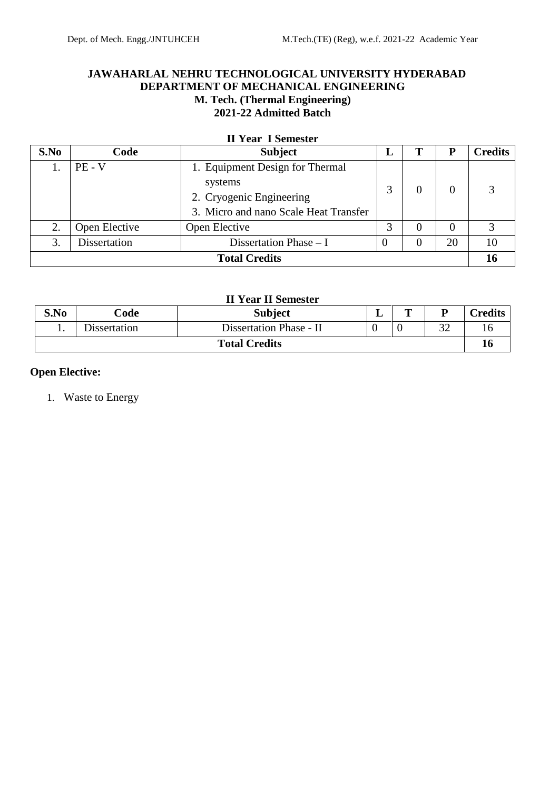## **JAWAHARLAL NEHRU TECHNOLOGICAL UNIVERSITY HYDERABAD DEPARTMENT OF MECHANICAL ENGINEERING M. Tech. (Thermal Engineering) 2021-22 Admitted Batch**

|  |  | <b>II Year I Semester</b> |
|--|--|---------------------------|
|--|--|---------------------------|

| S.No                 | Code          | <b>Subject</b><br>П<br>P<br>L         |    |    |          | <b>Credits</b> |
|----------------------|---------------|---------------------------------------|----|----|----------|----------------|
|                      | $PE - V$      | 1. Equipment Design for Thermal       |    |    |          |                |
|                      |               | systems                               |    |    | 3        |                |
|                      |               | 2. Cryogenic Engineering              |    |    |          |                |
|                      |               | 3. Micro and nano Scale Heat Transfer |    |    |          |                |
| 2.                   | Open Elective | Open Elective                         |    |    | $\Omega$ | 3              |
| 3.                   | Dissertation  | Dissertation Phase $- I$<br>20        |    | 10 |          |                |
| <b>Total Credits</b> |               |                                       | 16 |    |          |                |

## **II Year II Semester**

| S.No                 | Code                | m<br><b>Subject</b><br>D<br>. .                                 |    | <b>Tredits</b> |
|----------------------|---------------------|-----------------------------------------------------------------|----|----------------|
| . .                  | <b>Dissertation</b> | $\cap$<br>$\overline{0}$<br>Dissertation Phase - II<br>ے ر<br>U |    | 16             |
| <b>Total Credits</b> |                     |                                                                 | 10 |                |

## **Open Elective:**

1. Waste to Energy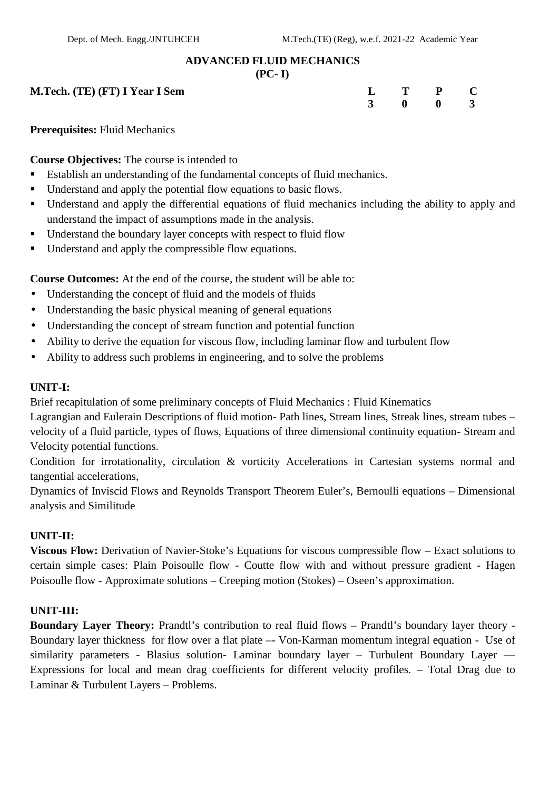#### **ADVANCED FLUID MECHANICS**

#### **(PC- I)**

| M.Tech. (TE) (FT) I Year I Sem | $L$ T P C |  |
|--------------------------------|-----------|--|
|--------------------------------|-----------|--|

| $L$ T P               | $\mathbf C$             |  |
|-----------------------|-------------------------|--|
| $3 \qquad 0 \qquad 0$ | $\overline{\mathbf{3}}$ |  |

**Prerequisites:** Fluid Mechanics

## **Course Objectives:** The course is intended to

- Establish an understanding of the fundamental concepts of fluid mechanics.
- Understand and apply the potential flow equations to basic flows.
- Understand and apply the differential equations of fluid mechanics including the ability to apply and understand the impact of assumptions made in the analysis.
- Understand the boundary layer concepts with respect to fluid flow
- Understand and apply the compressible flow equations.

**Course Outcomes:** At the end of the course, the student will be able to:

- Understanding the concept of fluid and the models of fluids
- Understanding the basic physical meaning of general equations
- Understanding the concept of stream function and potential function
- Ability to derive the equation for viscous flow, including laminar flow and turbulent flow
- Ability to address such problems in engineering, and to solve the problems

## **UNIT-I:**

Brief recapitulation of some preliminary concepts of Fluid Mechanics : Fluid Kinematics

Lagrangian and Eulerain Descriptions of fluid motion- Path lines, Stream lines, Streak lines, stream tubes – velocity of a fluid particle, types of flows, Equations of three dimensional continuity equation- Stream and Velocity potential functions.

Condition for irrotationality, circulation & vorticity Accelerations in Cartesian systems normal and tangential accelerations,

Dynamics of Inviscid Flows and Reynolds Transport Theorem Euler's, Bernoulli equations – Dimensional analysis and Similitude

## **UNIT-II:**

**Viscous Flow:** Derivation of Navier-Stoke's Equations for viscous compressible flow – Exact solutions to certain simple cases: Plain Poisoulle flow - Coutte flow with and without pressure gradient - Hagen Poisoulle flow - Approximate solutions – Creeping motion (Stokes) – Oseen's approximation.

## **UNIT-III:**

**Boundary Layer Theory:** Prandtl's contribution to real fluid flows – Prandtl's boundary layer theory - Boundary layer thickness for flow over a flat plate –- Von-Karman momentum integral equation - Use of similarity parameters - Blasius solution- Laminar boundary layer – Turbulent Boundary Layer –– Expressions for local and mean drag coefficients for different velocity profiles. – Total Drag due to Laminar & Turbulent Layers – Problems.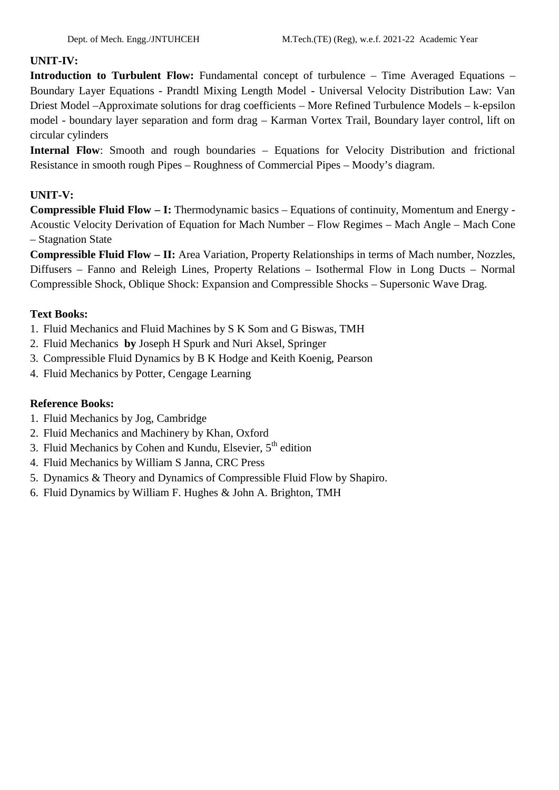## **UNIT-IV:**

**Introduction to Turbulent Flow:** Fundamental concept of turbulence – Time Averaged Equations – Boundary Layer Equations - Prandtl Mixing Length Model - Universal Velocity Distribution Law: Van Driest Model –Approximate solutions for drag coefficients – More Refined Turbulence Models – k-epsilon model - boundary layer separation and form drag – Karman Vortex Trail, Boundary layer control, lift on circular cylinders

**Internal Flow**: Smooth and rough boundaries – Equations for Velocity Distribution and frictional Resistance in smooth rough Pipes – Roughness of Commercial Pipes – Moody's diagram.

## **UNIT-V:**

**Compressible Fluid Flow – I:** Thermodynamic basics – Equations of continuity, Momentum and Energy - Acoustic Velocity Derivation of Equation for Mach Number – Flow Regimes – Mach Angle – Mach Cone – Stagnation State

**Compressible Fluid Flow – II:** Area Variation, Property Relationships in terms of Mach number, Nozzles, Diffusers – Fanno and Releigh Lines, Property Relations – Isothermal Flow in Long Ducts – Normal Compressible Shock, Oblique Shock: Expansion and Compressible Shocks – Supersonic Wave Drag.

## **Text Books:**

- 1. Fluid Mechanics and Fluid Machines by S K Som and G Biswas, TMH
- 2. Fluid Mechanics **by** Joseph H Spurk and Nuri Aksel, Springer
- 3. Compressible Fluid Dynamics by B K Hodge and Keith Koenig, Pearson
- 4. Fluid Mechanics by Potter, Cengage Learning

- 1. Fluid Mechanics by Jog, Cambridge
- 2. Fluid Mechanics and Machinery by Khan, Oxford
- 3. Fluid Mechanics by Cohen and Kundu, Elsevier,  $5<sup>th</sup>$  edition
- 4. Fluid Mechanics by William S Janna, CRC Press
- 5. Dynamics & Theory and Dynamics of Compressible Fluid Flow by Shapiro.
- 6. Fluid Dynamics by William F. Hughes & John A. Brighton, TMH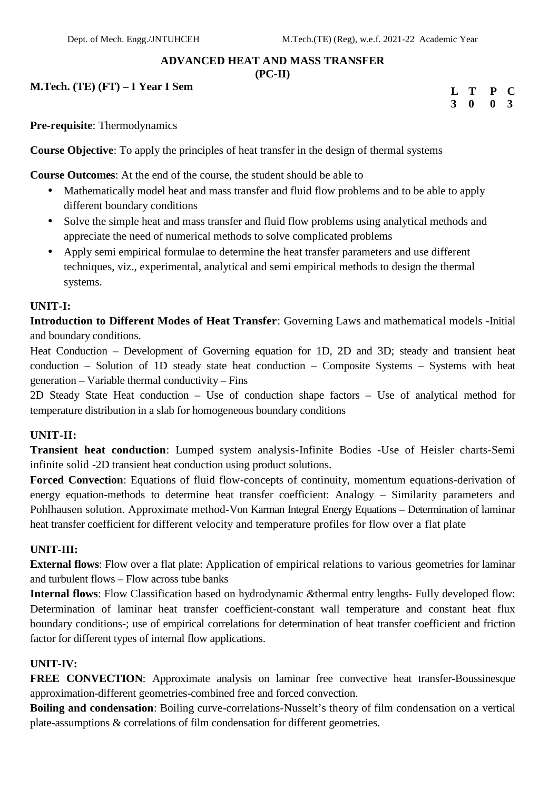#### **ADVANCED HEAT AND MASS TRANSFER**

#### **(PC-II)**

**M.Tech. (TE) (FT) – I Year I Sem**

| L T P C                     |  |  |
|-----------------------------|--|--|
| $3 \quad 0 \quad 0 \quad 3$ |  |  |

**Pre-requisite**: Thermodynamics

**Course Objective**: To apply the principles of heat transfer in the design of thermal systems

**Course Outcomes**: At the end of the course, the student should be able to

- Mathematically model heat and mass transfer and fluid flow problems and to be able to apply different boundary conditions
- Solve the simple heat and mass transfer and fluid flow problems using analytical methods and appreciate the need of numerical methods to solve complicated problems
- Apply semi empirical formulae to determine the heat transfer parameters and use different techniques, viz., experimental, analytical and semi empirical methods to design the thermal systems.

#### **UNIT-I:**

**Introduction to Different Modes of Heat Transfer**: Governing Laws and mathematical models -Initial and boundary conditions.

Heat Conduction – Development of Governing equation for 1D, 2D and 3D; steady and transient heat conduction – Solution of 1D steady state heat conduction – Composite Systems – Systems with heat generation – Variable thermal conductivity – Fins

2D Steady State Heat conduction – Use of conduction shape factors – Use of analytical method for temperature distribution in a slab for homogeneous boundary conditions

#### **UNIT-II:**

**Transient heat conduction**: Lumped system analysis-Infinite Bodies -Use of Heisler charts-Semi infinite solid -2D transient heat conduction using product solutions.

**Forced Convection**: Equations of fluid flow-concepts of continuity, momentum equations-derivation of energy equation-methods to determine heat transfer coefficient: Analogy – Similarity parameters and Pohlhausen solution. Approximate method-Von Karman Integral Energy Equations – Determination of laminar heat transfer coefficient for different velocity and temperature profiles for flow over a flat plate

#### **UNIT-III:**

**External flows**: Flow over a flat plate: Application of empirical relations to various geometries for laminar and turbulent flows – Flow across tube banks

**Internal flows**: Flow Classification based on hydrodynamic *&*thermal entry lengths- Fully developed flow: Determination of laminar heat transfer coefficient-constant wall temperature and constant heat flux boundary conditions-; use of empirical correlations for determination of heat transfer coefficient and friction factor for different types of internal flow applications.

#### **UNIT-IV:**

**FREE CONVECTION**: Approximate analysis on laminar free convective heat transfer-Boussinesque approximation-different geometries-combined free and forced convection.

**Boiling and condensation**: Boiling curve-correlations-Nusselt's theory of film condensation on a vertical plate-assumptions & correlations of film condensation for different geometries.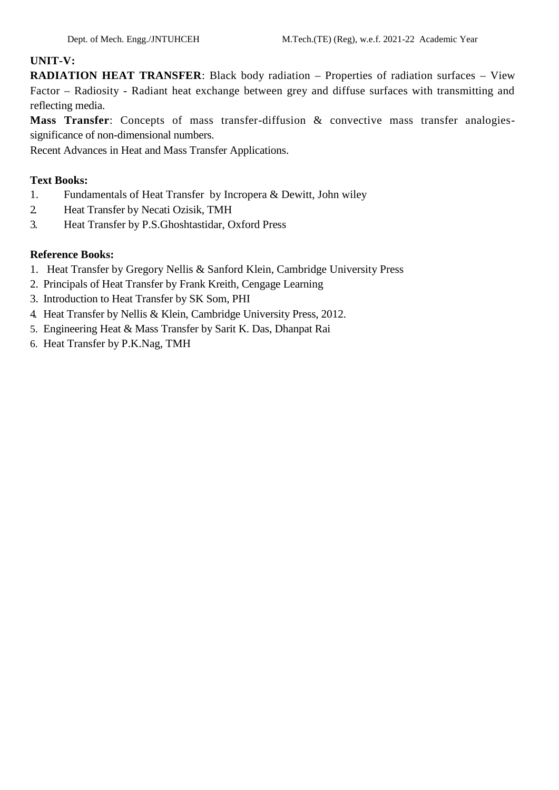## **UNIT-V:**

**RADIATION HEAT TRANSFER:** Black body radiation – Properties of radiation surfaces – View Factor – Radiosity - Radiant heat exchange between grey and diffuse surfaces with transmitting and reflecting media.

**Mass Transfer**: Concepts of mass transfer-diffusion & convective mass transfer analogies significance of non-dimensional numbers.

Recent Advances in Heat and Mass Transfer Applications.

## **Text Books:**

- 1. Fundamentals of Heat Transfer by Incropera & Dewitt, John wiley
- 2. Heat Transfer by Necati Ozisik, TMH
- 3. Heat Transfer by P.S.Ghoshtastidar, Oxford Press

- 1. Heat Transfer by Gregory Nellis & Sanford Klein, Cambridge University Press
- 2. Principals of Heat Transfer by Frank Kreith, Cengage Learning
- 3. Introduction to Heat Transfer by SK Som, PHI
- 4. Heat Transfer by Nellis & Klein, Cambridge University Press, 2012.
- 5. Engineering Heat & Mass Transfer by Sarit K. Das, Dhanpat Rai
- 6. Heat Transfer by P.K.Nag, TMH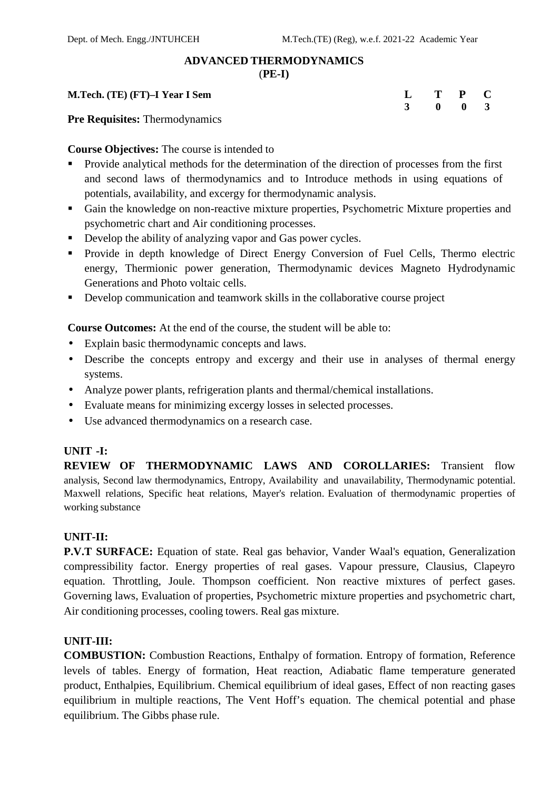#### **ADVANCED THERMODYNAMICS**

(**PE-I)**

#### **M.Tech. (TE) (FT)–I Year I Sem L T P C**

**Pre Requisites:** Thermodynamics

**Course Objectives:** The course is intended to

- Provide analytical methods for the determination of the direction of processes from the first and second laws of thermodynamics and to Introduce methods in using equations of potentials, availability, and excergy for thermodynamic analysis.
- Gain the knowledge on non-reactive mixture properties, Psychometric Mixture properties and psychometric chart and Air conditioning processes.
- Develop the ability of analyzing vapor and Gas power cycles.
- **Provide in depth knowledge of Direct Energy Conversion of Fuel Cells, Thermo electric** energy, Thermionic power generation, Thermodynamic devices Magneto Hydrodynamic Generations and Photo voltaic cells.
- Develop communication and teamwork skills in the collaborative course project

**Course Outcomes:** At the end of the course, the student will be able to:

- Explain basic thermodynamic concepts and laws.
- Describe the concepts entropy and excergy and their use in analyses of thermal energy systems.
- Analyze power plants, refrigeration plants and thermal/chemical installations.
- Evaluate means for minimizing excergy losses in selected processes.
- Use advanced thermodynamics on a research case.

#### **UNIT -I:**

**REVIEW OF THERMODYNAMIC LAWS AND COROLLARIES:** Transient flow analysis, Second law thermodynamics, Entropy, Availability and unavailability, Thermodynamic potential. Maxwell relations, Specific heat relations, Mayer's relation. Evaluation of thermodynamic properties of working substance

#### **UNIT-II:**

**P.V.T SURFACE:** Equation of state. Real gas behavior, Vander Waal's equation, Generalization compressibility factor. Energy properties of real gases. Vapour pressure, Clausius, Clapeyro equation. Throttling, Joule. Thompson coefficient. Non reactive mixtures of perfect gases. Governing laws, Evaluation of properties, Psychometric mixture properties and psychometric chart, Air conditioning processes, cooling towers. Real gas mixture.

## **UNIT-III:**

**COMBUSTION:** Combustion Reactions, Enthalpy of formation. Entropy of formation, Reference levels of tables. Energy of formation, Heat reaction, Adiabatic flame temperature generated product, Enthalpies, Equilibrium. Chemical equilibrium of ideal gases, Effect of non reacting gases equilibrium in multiple reactions, The Vent Hoff's equation. The chemical potential and phase equilibrium. The Gibbs phase rule.

| L | T        | $\mathbf{P}$ | $\mathbf C$  |  |
|---|----------|--------------|--------------|--|
| 3 | $\bf{0}$ | $\bf{0}$     | $\mathbf{3}$ |  |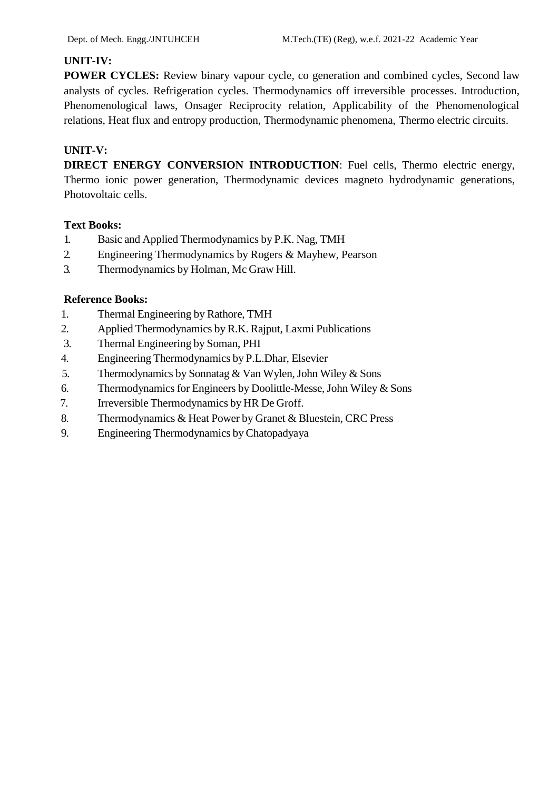## **UNIT-IV:**

**POWER CYCLES:** Review binary vapour cycle, co generation and combined cycles, Second law analysts of cycles. Refrigeration cycles. Thermodynamics off irreversible processes. Introduction, Phenomenological laws, Onsager Reciprocity relation, Applicability of the Phenomenological relations, Heat flux and entropy production, Thermodynamic phenomena, Thermo electric circuits.

# **UNIT-V:**

**DIRECT ENERGY CONVERSION INTRODUCTION**: Fuel cells, Thermo electric energy, Thermo ionic power generation, Thermodynamic devices magneto hydrodynamic generations, Photovoltaic cells.

## **Text Books:**

- 1. Basic and Applied Thermodynamics by P.K. Nag, TMH
- 2. Engineering Thermodynamics by Rogers & Mayhew, Pearson
- 3. Thermodynamics by Holman, Mc Graw Hill.

- 1. Thermal Engineering by Rathore, TMH
- 2. Applied Thermodynamics by R.K. Rajput, Laxmi Publications
- 3. Thermal Engineering by Soman, PHI
- 4. Engineering Thermodynamics by P.L.Dhar, Elsevier
- 5. Thermodynamics by Sonnatag & Van Wylen,John Wiley & Sons
- 6. Thermodynamics for Engineers by Doolittle-Messe,John Wiley & Sons
- 7. Irreversible Thermodynamics by HR De Groff.
- 8. Thermodynamics & Heat Power by Granet & Bluestein, CRC Press
- 9. Engineering Thermodynamics by Chatopadyaya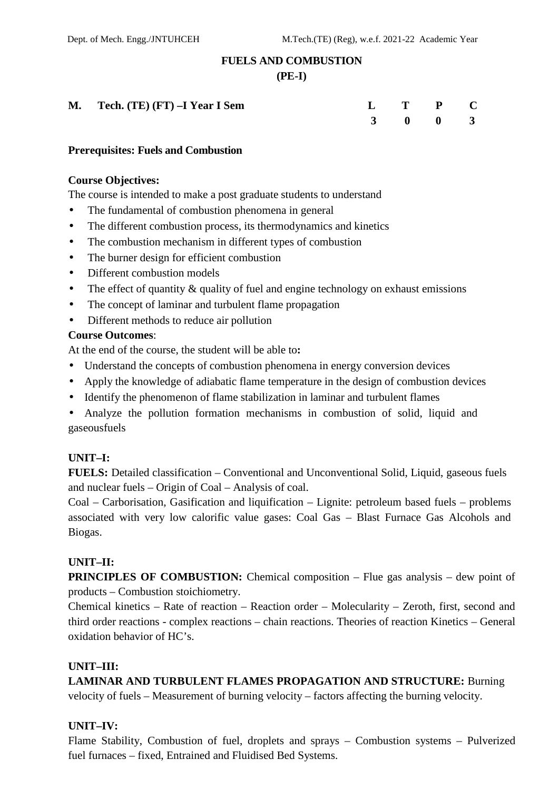## **FUELS AND COMBUSTION**

#### **(PE-I)**

| M. Tech. $(TE) (FT) -I Year I Sem$ |  | $L$ T P C |  |
|------------------------------------|--|-----------|--|
|                                    |  | 3 0 0 3   |  |

#### **Prerequisites: Fuels and Combustion**

#### **Course Objectives:**

The course is intended to make a post graduate students to understand

- The fundamental of combustion phenomena in general
- The different combustion process, its thermodynamics and kinetics
- The combustion mechanism in different types of combustion
- The burner design for efficient combustion
- Different combustion models
- The effect of quantity & quality of fuel and engine technology on exhaust emissions
- The concept of laminar and turbulent flame propagation
- Different methods to reduce air pollution

#### **Course Outcomes**:

At the end of the course, the student will be able to**:**

- Understand the concepts of combustion phenomena in energy conversion devices
- Apply the knowledge of adiabatic flame temperature in the design of combustion devices
- Identify the phenomenon of flame stabilization in laminar and turbulent flames
- Analyze the pollution formation mechanisms in combustion of solid, liquid and gaseousfuels

## **UNIT–I:**

**FUELS:** Detailed classification – Conventional and Unconventional Solid, Liquid, gaseous fuels and nuclear fuels – Origin of Coal – Analysis of coal.

Coal – Carborisation, Gasification and liquification – Lignite: petroleum based fuels – problems associated with very low calorific value gases: Coal Gas – Blast Furnace Gas Alcohols and Biogas.

#### **UNIT–II:**

**PRINCIPLES OF COMBUSTION:** Chemical composition – Flue gas analysis – dew point of products – Combustion stoichiometry.

Chemical kinetics – Rate of reaction – Reaction order – Molecularity – Zeroth, first, second and third order reactions - complex reactions – chain reactions. Theories of reaction Kinetics – General oxidation behavior of HC's.

## **UNIT–III:**

**LAMINAR AND TURBULENT FLAMES PROPAGATION AND STRUCTURE:** Burning velocity of fuels – Measurement of burning velocity – factors affecting the burning velocity.

#### **UNIT–IV:**

Flame Stability, Combustion of fuel, droplets and sprays – Combustion systems – Pulverized fuel furnaces – fixed, Entrained and Fluidised Bed Systems.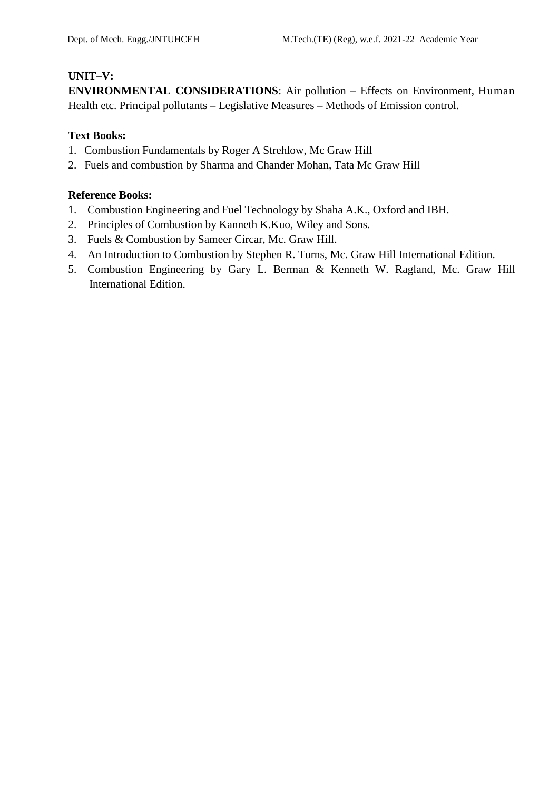## **UNIT–V:**

**ENVIRONMENTAL CONSIDERATIONS**: Air pollution – Effects on Environment, Human Health etc. Principal pollutants – Legislative Measures – Methods of Emission control.

## **Text Books:**

- 1. Combustion Fundamentals by Roger A Strehlow, Mc Graw Hill
- 2. Fuels and combustion by Sharma and Chander Mohan, Tata Mc Graw Hill

- 1. Combustion Engineering and Fuel Technology by Shaha A.K., Oxford and IBH.
- 2. Principles of Combustion by Kanneth K.Kuo, Wiley and Sons.
- 3. Fuels & Combustion by Sameer Circar, Mc. Graw Hill.
- 4. An Introduction to Combustion by Stephen R. Turns, Mc. Graw Hill International Edition.
- 5. Combustion Engineering by Gary L. Berman & Kenneth W. Ragland, Mc. Graw Hill International Edition.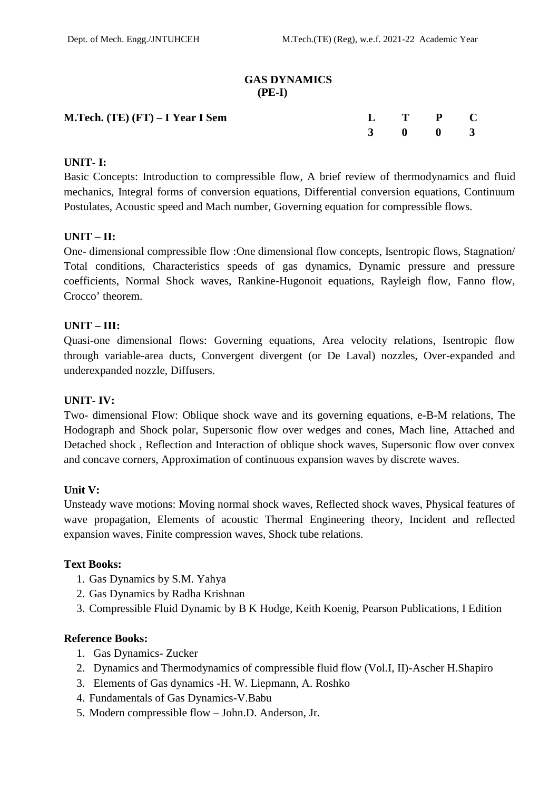#### **GAS DYNAMICS (PE-I)**

| M.Tech. (TE) (FT) – I Year I Sem |  | $L$ T P C |  |  |
|----------------------------------|--|-----------|--|--|
|                                  |  | 3 0 0 3   |  |  |

## **UNIT- I:**

Basic Concepts: Introduction to compressible flow, A brief review of thermodynamics and fluid mechanics, Integral forms of conversion equations, Differential conversion equations, Continuum Postulates, Acoustic speed and Mach number, Governing equation for compressible flows.

#### **UNIT – II:**

One- dimensional compressible flow :One dimensional flow concepts, Isentropic flows, Stagnation/ Total conditions, Characteristics speeds of gas dynamics, Dynamic pressure and pressure coefficients, Normal Shock waves, Rankine-Hugonoit equations, Rayleigh flow, Fanno flow, Crocco' theorem.

#### **UNIT – III:**

Quasi-one dimensional flows: Governing equations, Area velocity relations, Isentropic flow through variable-area ducts, Convergent divergent (or De Laval) nozzles, Over-expanded and underexpanded nozzle, Diffusers.

#### **UNIT- IV:**

Two- dimensional Flow: Oblique shock wave and its governing equations, e-B-M relations, The Hodograph and Shock polar, Supersonic flow over wedges and cones, Mach line, Attached and Detached shock , Reflection and Interaction of oblique shock waves, Supersonic flow over convex and concave corners, Approximation of continuous expansion waves by discrete waves.

#### **Unit V:**

Unsteady wave motions: Moving normal shock waves, Reflected shock waves, Physical features of wave propagation, Elements of acoustic Thermal Engineering theory, Incident and reflected expansion waves, Finite compression waves, Shock tube relations.

#### **Text Books:**

- 1. Gas Dynamics by S.M. Yahya
- 2. Gas Dynamics by Radha Krishnan
- 3. Compressible Fluid Dynamic by B K Hodge, Keith Koenig, Pearson Publications, I Edition

- 1. Gas Dynamics- Zucker
- 2. Dynamics and Thermodynamics of compressible fluid flow (Vol.I, II)-Ascher H.Shapiro
- 3. Elements of Gas dynamics -H. W. Liepmann, A. Roshko
- 4. Fundamentals of Gas Dynamics-V.Babu
- 5. Modern compressible flow John.D. Anderson, Jr.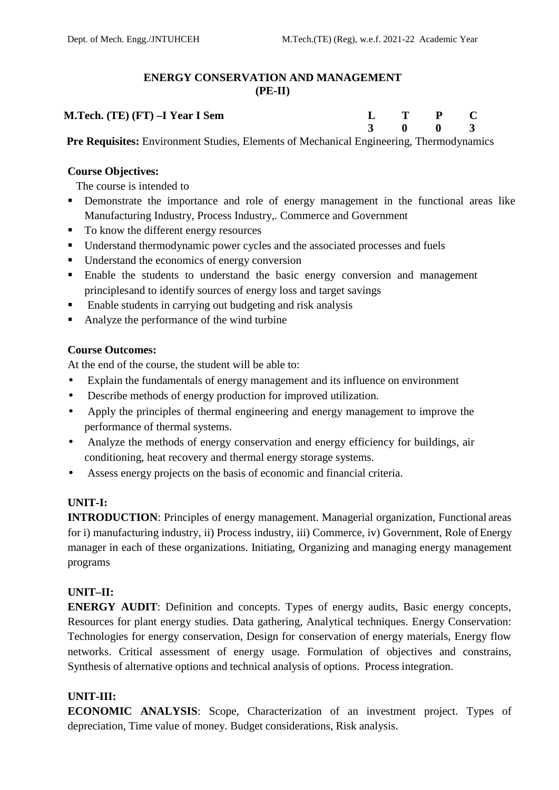## **ENERGY CONSERVATION AND MANAGEMENT (PE-II)**

# **M.Tech. (TE) (FT) –I Year I Sem L T P C**

**3 0 0 3**

**Pre Requisites:** Environment Studies, Elements of Mechanical Engineering, Thermodynamics

## **Course Objectives:**

The course is intended to

- **•** Demonstrate the importance and role of energy management in the functional areas like Manufacturing Industry, Process Industry,. Commerce and Government
- To know the different energy resources
- Understand thermodynamic power cycles and the associated processes and fuels
- **IDED** Understand the economics of energy conversion
- Enable the students to understand the basic energy conversion and management principlesand to identify sources of energy loss and target savings
- Enable students in carrying out budgeting and risk analysis
- Analyze the performance of the wind turbine

## **Course Outcomes:**

At the end of the course, the student will be able to:

- Explain the fundamentals of energy management and its influence on environment
- Describe methods of energy production for improved utilization.
- Apply the principles of thermal engineering and energy management to improve the performance of thermal systems.
- Analyze the methods of energy conservation and energy efficiency for buildings, air conditioning, heat recovery and thermal energy storage systems.
- Assess energy projects on the basis of economic and financial criteria.

## **UNIT-I:**

**INTRODUCTION:** Principles of energy management. Managerial organization, Functional areas for i) manufacturing industry, ii) Process industry, iii) Commerce, iv) Government, Role ofEnergy manager in each of these organizations. Initiating, Organizing and managing energy management programs

## **UNIT–II:**

**ENERGY AUDIT:** Definition and concepts. Types of energy audits, Basic energy concepts, Resources for plant energy studies. Data gathering, Analytical techniques. Energy Conservation: Technologies for energy conservation, Design for conservation of energy materials, Energy flow networks. Critical assessment of energy usage. Formulation of objectives and constrains, Synthesis of alternative options and technical analysis of options. Process integration.

## **UNIT-III:**

**ECONOMIC ANALYSIS**: Scope, Characterization of an investment project. Types of depreciation, Time value of money. Budget considerations, Risk analysis.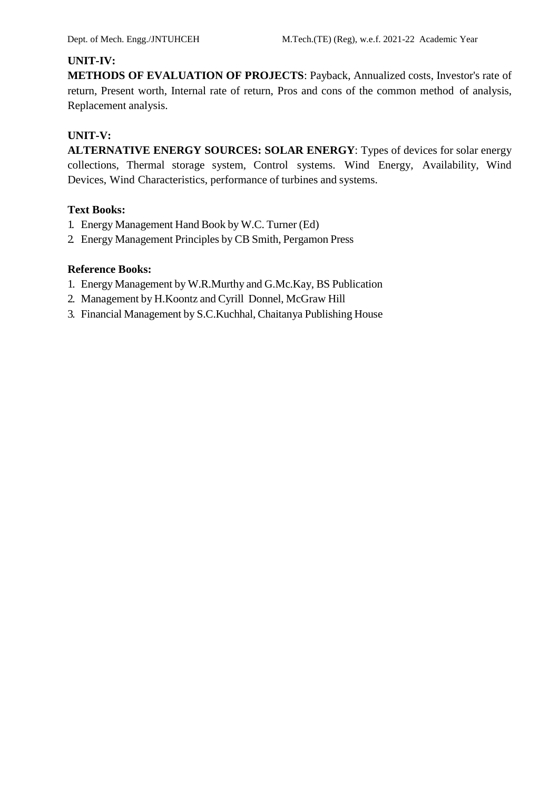## **UNIT-IV:**

**METHODS OF EVALUATION OF PROJECTS**: Payback, Annualized costs, Investor's rate of return, Present worth, Internal rate of return, Pros and cons of the common method of analysis, Replacement analysis.

## **UNIT-V:**

**ALTERNATIVE ENERGY SOURCES: SOLAR ENERGY**: Types of devices for solar energy collections, Thermal storage system, Control systems. Wind Energy, Availability, Wind Devices, Wind Characteristics, performance of turbines and systems.

## **Text Books:**

- 1. Energy Management Hand Book by W.C. Turner (Ed)
- 2. Energy Management Principles by CB Smith, Pergamon Press

- 1. Energy Management by W.R.Murthy and G.Mc.Kay, BS Publication
- 2. Management by H.Koontz and Cyrill Donnel, McGraw Hill
- 3. Financial Management by S.C.Kuchhal, Chaitanya Publishing House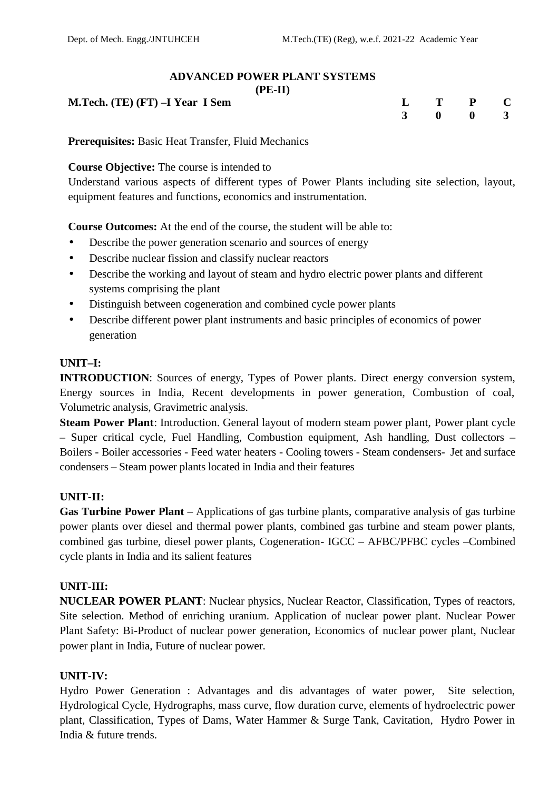## **ADVANCED POWER PLANT SYSTEMS**

| . .<br>ш<br>г<br>. |
|--------------------|
|--------------------|

| <b>M.Tech.</b> (TE) (FT) $-I$ Year I Sem |  | $L$ T P C |  |
|------------------------------------------|--|-----------|--|
|                                          |  | 3 0 0 3   |  |
|                                          |  |           |  |

**Prerequisites:** Basic Heat Transfer, Fluid Mechanics

## **Course Objective:** The course is intended to

Understand various aspects of different types of Power Plants including site selection, layout, equipment features and functions, economics and instrumentation.

**Course Outcomes:** At the end of the course, the student will be able to:

- Describe the power generation scenario and sources of energy
- Describe nuclear fission and classify nuclear reactors
- Describe the working and layout of steam and hydro electric power plants and different systems comprising the plant
- Distinguish between cogeneration and combined cycle power plants
- Describe different power plant instruments and basic principles of economics of power generation

## **UNIT–I:**

**INTRODUCTION**: Sources of energy, Types of Power plants. Direct energy conversion system, Energy sources in India, Recent developments in power generation, Combustion of coal, Volumetric analysis, Gravimetric analysis.

**Steam Power Plant**: Introduction. General layout of modern steam power plant, Power plant cycle – Super critical cycle, Fuel Handling, Combustion equipment, Ash handling, Dust collectors – Boilers - Boiler accessories - Feed water heaters - Cooling towers - Steam condensers- Jet and surface condensers – Steam power plants located in India and their features

## **UNIT-II:**

**Gas Turbine Power Plant** – Applications of gas turbine plants, comparative analysis of gas turbine power plants over diesel and thermal power plants, combined gas turbine and steam power plants, combined gas turbine, diesel power plants, Cogeneration- IGCC – AFBC/PFBC cycles –Combined cycle plants in India and its salient features

## **UNIT-III:**

**NUCLEAR POWER PLANT**: Nuclear physics, Nuclear Reactor, Classification, Types of reactors, Site selection. Method of enriching uranium. Application of nuclear power plant. Nuclear Power Plant Safety: Bi-Product of nuclear power generation, Economics of nuclear power plant, Nuclear power plant in India, Future of nuclear power.

## **UNIT-IV:**

Hydro Power Generation : Advantages and dis advantages of water power, Site selection, Hydrological Cycle, Hydrographs, mass curve, flow duration curve, elements of hydroelectric power plant, Classification, Types of Dams, Water Hammer & Surge Tank, Cavitation, Hydro Power in India & future trends.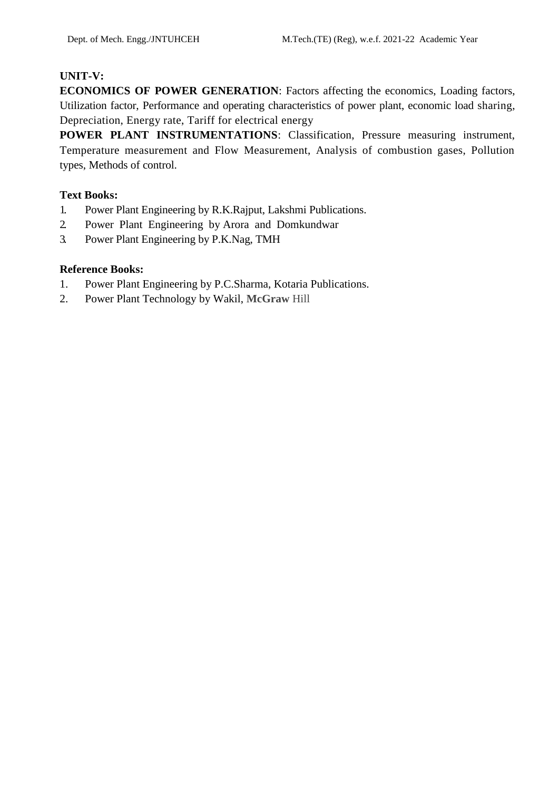## **UNIT-V:**

**ECONOMICS OF POWER GENERATION**: Factors affecting the economics, Loading factors, Utilization factor, Performance and operating characteristics of power plant, economic load sharing, Depreciation, Energy rate, Tariff for electrical energy

**POWER PLANT INSTRUMENTATIONS**: Classification, Pressure measuring instrument, Temperature measurement and Flow Measurement, Analysis of combustion gases, Pollution types, Methods of control.

## **Text Books:**

- 1. Power Plant Engineering by R.K.Rajput, Lakshmi Publications.
- 2. Power Plant Engineering by Arora and Domkundwar
- 3. Power Plant Engineering by P.K.Nag, TMH

- 1. Power Plant Engineering by P.C.Sharma, Kotaria Publications.
- 2. Power Plant Technology by Wakil, **McGraw** Hill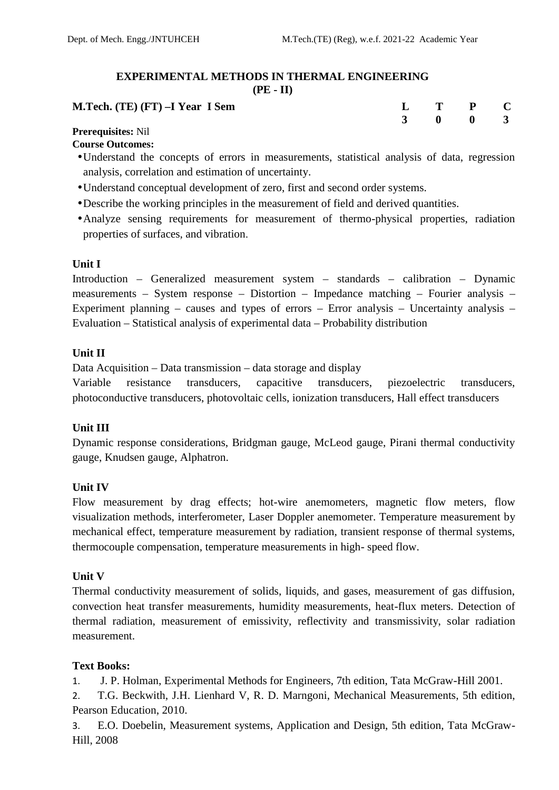#### **EXPERIMENTAL METHODS IN THERMAL ENGINEERING (PE - II)**

| <b>M.Tech.</b> (TE) (FT) $-I$ Year I Sem | $L$ T P C |  |  |
|------------------------------------------|-----------|--|--|
| $-$<br>- - - -                           | 3 0 0 3   |  |  |

#### **Prerequisites:** Nil **Course Outcomes:**

- Understand the concepts of errors in measurements, statistical analysis of data, regression analysis, correlation and estimation of uncertainty.
- Understand conceptual development of zero, first and second order systems.
- Describe the working principles in the measurement of field and derived quantities.
- Analyze sensing requirements for measurement of thermo-physical properties, radiation properties of surfaces, and vibration.

## **Unit I**

Introduction – Generalized measurement system – standards – calibration – Dynamic measurements – System response – Distortion – Impedance matching – Fourier analysis – Experiment planning – causes and types of errors – Error analysis – Uncertainty analysis – Evaluation – Statistical analysis of experimental data – Probability distribution

## **Unit II**

Data Acquisition – Data transmission – data storage and display

Variable resistance transducers, capacitive transducers, piezoelectric transducers, photoconductive transducers, photovoltaic cells, ionization transducers, Hall effect transducers

## **Unit III**

Dynamic response considerations, Bridgman gauge, McLeod gauge, Pirani thermal conductivity gauge, Knudsen gauge, Alphatron.

## **Unit IV**

Flow measurement by drag effects; hot-wire anemometers, magnetic flow meters, flow visualization methods, interferometer, Laser Doppler anemometer. Temperature measurement by mechanical effect, temperature measurement by radiation, transient response of thermal systems, thermocouple compensation, temperature measurements in high- speed flow.

#### **Unit V**

Thermal conductivity measurement of solids, liquids, and gases, measurement of gas diffusion, convection heat transfer measurements, humidity measurements, heat-flux meters. Detection of thermal radiation, measurement of emissivity, reflectivity and transmissivity, solar radiation measurement.

## **Text Books:**

1. J. P. Holman, Experimental Methods for Engineers, 7th edition, Tata McGraw-Hill 2001.

2. T.G. Beckwith, J.H. Lienhard V, R. D. Marngoni, Mechanical Measurements, 5th edition, Pearson Education, 2010.

3. E.O. Doebelin, Measurement systems, Application and Design, 5th edition, Tata McGraw- Hill, 2008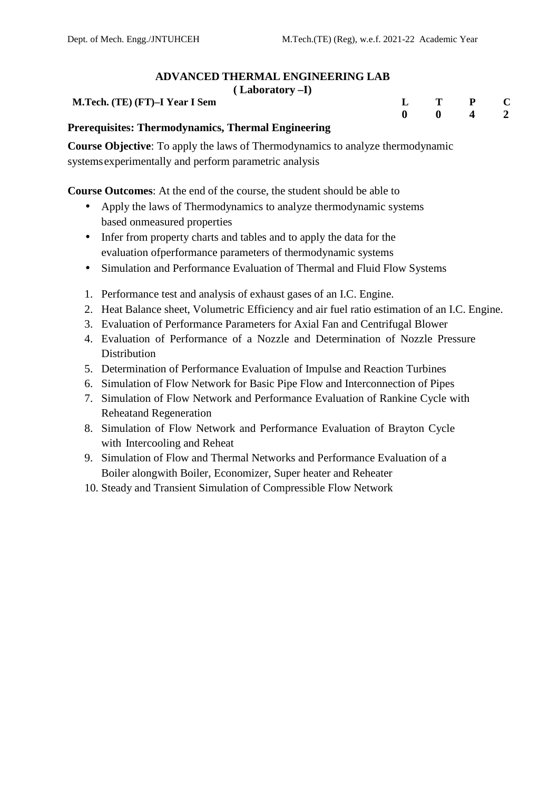#### **ADVANCED THERMAL ENGINEERING LAB ( Laboratory –I)**

| $(La$ doratory $-I$            |  |                                |  |
|--------------------------------|--|--------------------------------|--|
| M.Tech. (TE) (FT)–I Year I Sem |  | $\mathbf{L}$ T P C             |  |
|                                |  | $0 \qquad 0 \qquad 4 \qquad 2$ |  |
| $\sim$ $\sim$<br>$-$<br>$-$    |  |                                |  |

**Prerequisites: Thermodynamics, Thermal Engineering**

**Course Objective**: To apply the laws of Thermodynamics to analyze thermodynamic systemsexperimentally and perform parametric analysis

**Course Outcomes**: At the end of the course, the student should be able to

- Apply the laws of Thermodynamics to analyze thermodynamic systems based onmeasured properties
- Infer from property charts and tables and to apply the data for the evaluation ofperformance parameters of thermodynamic systems
- Simulation and Performance Evaluation of Thermal and Fluid Flow Systems
- 1. Performance test and analysis of exhaust gases of an I.C. Engine.
- 2. Heat Balance sheet, Volumetric Efficiency and air fuel ratio estimation of an I.C. Engine.
- 3. Evaluation of Performance Parameters for Axial Fan and Centrifugal Blower
- 4. Evaluation of Performance of a Nozzle and Determination of Nozzle Pressure Distribution
- 5. Determination of Performance Evaluation of Impulse and Reaction Turbines
- 6. Simulation of Flow Network for Basic Pipe Flow and Interconnection of Pipes
- 7. Simulation of Flow Network and Performance Evaluation of Rankine Cycle with Reheatand Regeneration
- 8. Simulation of Flow Network and Performance Evaluation of Brayton Cycle with Intercooling and Reheat
- 9. Simulation of Flow and Thermal Networks and Performance Evaluation of a Boiler alongwith Boiler, Economizer, Super heater and Reheater
- 10. Steady and Transient Simulation of Compressible Flow Network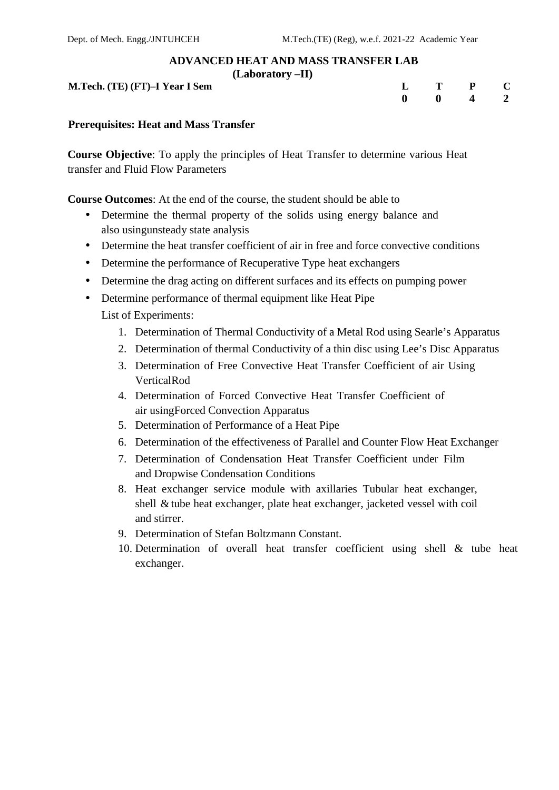#### **ADVANCED HEAT AND MASS TRANSFER LAB**

**(Laboratory –II)**

**M.Tech. (TE) (FT)**-**I** Year **I** Sem

|  | $L$ T P C                      |  |
|--|--------------------------------|--|
|  | $0 \qquad 0 \qquad 4 \qquad 2$ |  |

#### **Prerequisites: Heat and Mass Transfer**

**Course Objective**: To apply the principles of Heat Transfer to determine various Heat transfer and Fluid Flow Parameters

**Course Outcomes**: At the end of the course, the student should be able to

- Determine the thermal property of the solids using energy balance and also usingunsteady state analysis
- Determine the heat transfer coefficient of air in free and force convective conditions
- Determine the performance of Recuperative Type heat exchangers
- Determine the drag acting on different surfaces and its effects on pumping power
- Determine performance of thermal equipment like Heat Pipe List of Experiments:
	- 1. Determination of Thermal Conductivity of a Metal Rod using Searle's Apparatus
	- 2. Determination of thermal Conductivity of a thin disc using Lee's Disc Apparatus
	- 3. Determination of Free Convective Heat Transfer Coefficient of air Using VerticalRod
	- 4. Determination of Forced Convective Heat Transfer Coefficient of air usingForced Convection Apparatus
	- 5. Determination of Performance of a Heat Pipe
	- 6. Determination of the effectiveness of Parallel and Counter Flow Heat Exchanger
	- 7. Determination of Condensation Heat Transfer Coefficient under Film and Dropwise Condensation Conditions
	- 8. Heat exchanger service module with axillaries Tubular heat exchanger, shell &tube heat exchanger, plate heat exchanger, jacketed vessel with coil and stirrer.
	- 9. Determination of Stefan Boltzmann Constant.
	- 10. Determination of overall heat transfer coefficient using shell  $\&$  tube heat exchanger.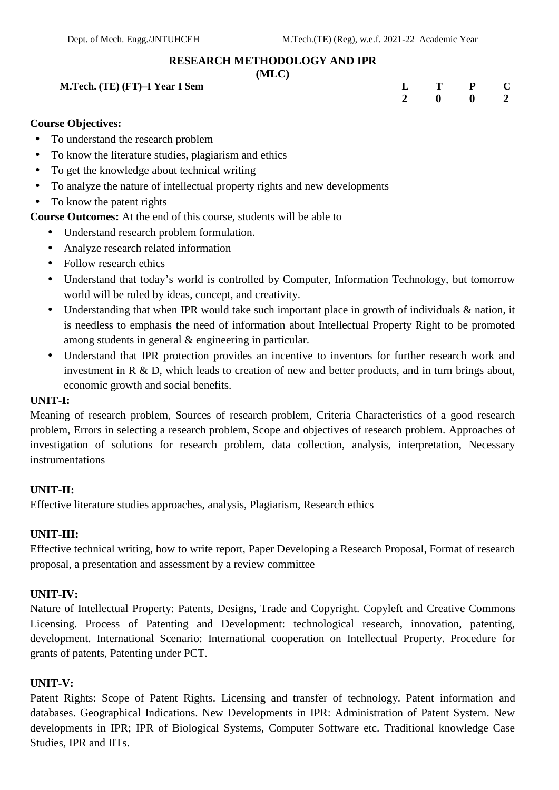#### **RESEARCH METHODOLOGY AND IPR**

#### **(MLC)**

| M.Tech. (TE) (FT)–I Year I Sem | $ -$ | $L$ T P C |  |  |
|--------------------------------|------|-----------|--|--|
|                                |      | 2 0 0 2   |  |  |

## **Course Objectives:**

- To understand the research problem
- To know the literature studies, plagiarism and ethics
- To get the knowledge about technical writing
- To analyze the nature of intellectual property rights and new developments
- To know the patent rights

**Course Outcomes:** At the end of this course, students will be able to

- Understand research problem formulation.
- Analyze research related information
- Follow research ethics
- Understand that today's world is controlled by Computer, Information Technology, but tomorrow world will be ruled by ideas, concept, and creativity.
- Understanding that when IPR would take such important place in growth of individuals & nation, it is needless to emphasis the need of information about Intellectual Property Right to be promoted among students in general & engineering in particular.
- Understand that IPR protection provides an incentive to inventors for further research work and investment in R & D, which leads to creation of new and better products, and in turn brings about, economic growth and social benefits.

#### **UNIT-I:**

Meaning of research problem, Sources of research problem, Criteria Characteristics of a good research problem, Errors in selecting a research problem, Scope and objectives of research problem. Approaches of investigation of solutions for research problem, data collection, analysis, interpretation, Necessary instrumentations

#### **UNIT-II:**

Effective literature studies approaches, analysis, Plagiarism, Research ethics

#### **UNIT-III:**

Effective technical writing, how to write report, Paper Developing a Research Proposal, Format of research proposal, a presentation and assessment by a review committee

#### **UNIT-IV:**

Nature of Intellectual Property: Patents, Designs, Trade and Copyright. Copyleft and Creative Commons Licensing. Process of Patenting and Development: technological research, innovation, patenting, development. International Scenario: International cooperation on Intellectual Property. Procedure for grants of patents, Patenting under PCT.

#### **UNIT-V:**

Patent Rights: Scope of Patent Rights. Licensing and transfer of technology. Patent information and databases. Geographical Indications. New Developments in IPR: Administration of Patent System. New developments in IPR; IPR of Biological Systems, Computer Software etc. Traditional knowledge Case Studies, IPR and IITs.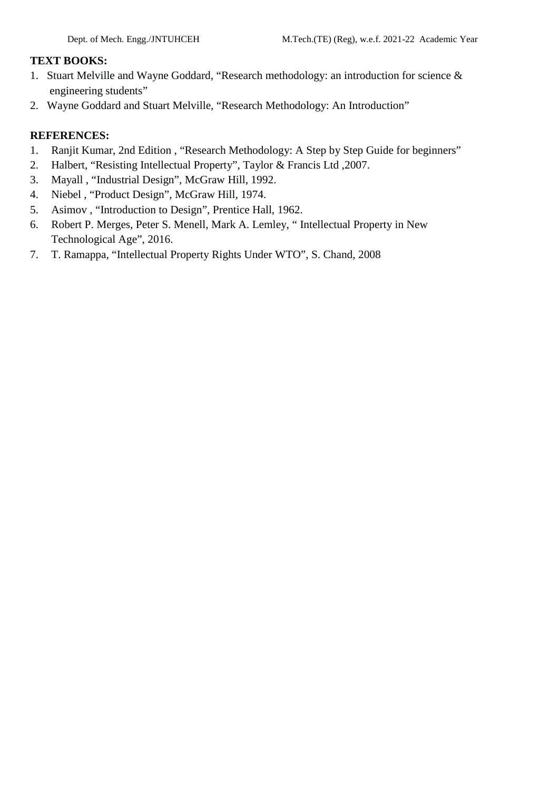#### **TEXT BOOKS:**

- 1. Stuart Melville and Wayne Goddard, "Research methodology: an introduction for science & engineering students"
- 2. Wayne Goddard and Stuart Melville, "Research Methodology: An Introduction"

## **REFERENCES:**

- 1. Ranjit Kumar, 2nd Edition , "Research Methodology: A Step by Step Guide for beginners"
- 2. Halbert, "Resisting Intellectual Property", Taylor & Francis Ltd ,2007.
- 3. Mayall , "Industrial Design", McGraw Hill, 1992.
- 4. Niebel , "Product Design", McGraw Hill, 1974.
- 5. Asimov , "Introduction to Design", Prentice Hall, 1962.
- 6. Robert P. Merges, Peter S. Menell, Mark A. Lemley, " Intellectual Property in New Technological Age", 2016.
- 7. T. Ramappa, "Intellectual Property Rights Under WTO", S. Chand, 2008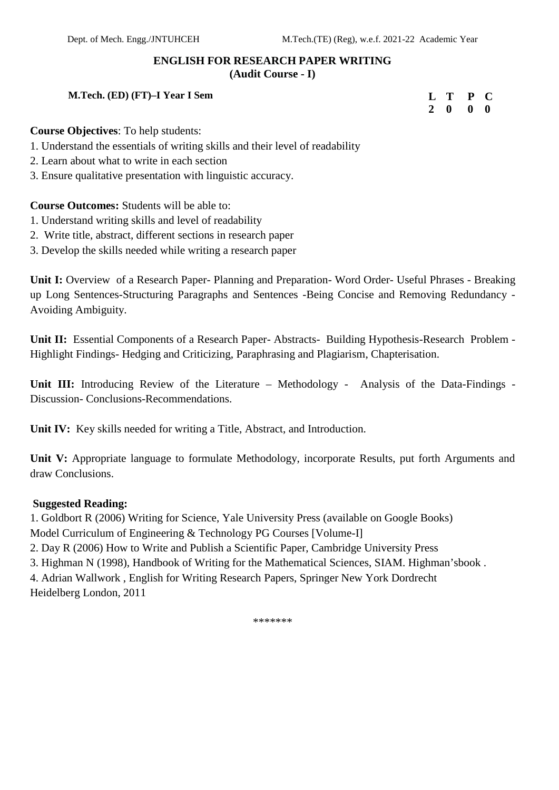# **ENGLISH FOR RESEARCH PAPER WRITING**

**(Audit Course - I)**

#### **M.Tech. (ED) (FT)–I Year I Sem**

**L T P C 2 0 0 0**

#### **Course Objectives**: To help students:

- 1. Understand the essentials of writing skills and their level of readability
- 2. Learn about what to write in each section
- 3. Ensure qualitative presentation with linguistic accuracy.

#### **Course Outcomes:** Students will be able to:

- 1. Understand writing skills and level of readability
- 2. Write title, abstract, different sections in research paper
- 3. Develop the skills needed while writing a research paper

**Unit I:** Overview of a Research Paper- Planning and Preparation- Word Order- Useful Phrases - Breaking up Long Sentences-Structuring Paragraphs and Sentences -Being Concise and Removing Redundancy - Avoiding Ambiguity.

**Unit II:** Essential Components of a Research Paper- Abstracts- Building Hypothesis-Research Problem - Highlight Findings- Hedging and Criticizing, Paraphrasing and Plagiarism, Chapterisation.

**Unit III:** Introducing Review of the Literature – Methodology - Analysis of the Data-Findings - Discussion- Conclusions-Recommendations.

**Unit IV:** Key skills needed for writing a Title, Abstract, and Introduction.

**Unit V:** Appropriate language to formulate Methodology, incorporate Results, put forth Arguments and draw Conclusions.

#### **Suggested Reading:**

1. Goldbort R (2006) Writing for Science, Yale University Press (available on Google Books) Model Curriculum of Engineering & Technology PG Courses [Volume-I] 2. Day R (2006) How to Write and Publish a Scientific Paper, Cambridge University Press 3. Highman N (1998), Handbook of Writing for the Mathematical Sciences, SIAM. Highman'sbook . 4. Adrian Wallwork , English for Writing Research Papers, Springer New York Dordrecht Heidelberg London, 2011

\*\*\*\*\*\*\*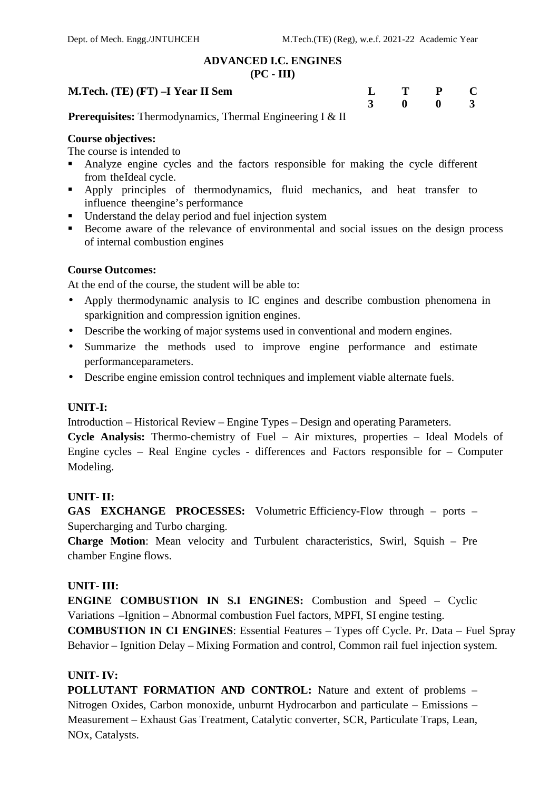## **ADVANCED I.C. ENGINES**

#### **(PC - III)**

| M.Tech. (TE) (FT) –I Year II Sem |  |     |  |  |      | $L$ T P C |  |  |         |  |  |
|----------------------------------|--|-----|--|--|------|-----------|--|--|---------|--|--|
|                                  |  |     |  |  |      |           |  |  | 3 0 0 3 |  |  |
| $\overline{\phantom{a}}$         |  | ___ |  |  | ____ |           |  |  |         |  |  |

**Prerequisites:** Thermodynamics, Thermal Engineering I & II

## **Course objectives:**

The course is intended to

- Analyze engine cycles and the factors responsible for making the cycle different from theIdeal cycle.
- Apply principles of thermodynamics, fluid mechanics, and heat transfer to influence theengine's performance
- Understand the delay period and fuel injection system
- Become aware of the relevance of environmental and social issues on the design process of internal combustion engines

## **Course Outcomes:**

At the end of the course, the student will be able to:

- Apply thermodynamic analysis to IC engines and describe combustion phenomena in sparkignition and compression ignition engines.
- Describe the working of major systems used in conventional and modern engines.
- Summarize the methods used to improve engine performance and estimate performanceparameters.
- Describe engine emission control techniques and implement viable alternate fuels.

#### **UNIT-I:**

Introduction – Historical Review – Engine Types – Design and operating Parameters.

**Cycle Analysis:** Thermo-chemistry of Fuel – Air mixtures, properties – Ideal Models of Engine cycles – Real Engine cycles - differences and Factors responsible for – Computer Modeling.

#### **UNIT- II:**

**GAS EXCHANGE PROCESSES:** Volumetric Efficiency-Flow through – ports – Supercharging and Turbo charging.

**Charge Motion**: Mean velocity and Turbulent characteristics, Swirl, Squish – Pre chamber Engine flows.

## **UNIT- III:**

**ENGINE COMBUSTION IN S.I ENGINES:** Combustion and Speed – Cyclic Variations –Ignition – Abnormal combustion Fuel factors, MPFI, SI engine testing. **COMBUSTION IN CI ENGINES**: Essential Features – Types off Cycle. Pr. Data – Fuel Spray Behavior – Ignition Delay – Mixing Formation and control, Common rail fuel injection system.

## **UNIT- IV:**

**POLLUTANT FORMATION AND CONTROL:** Nature and extent of problems – Nitrogen Oxides, Carbon monoxide, unburnt Hydrocarbon and particulate – Emissions – Measurement – Exhaust Gas Treatment, Catalytic converter, SCR, Particulate Traps, Lean, NOx, Catalysts.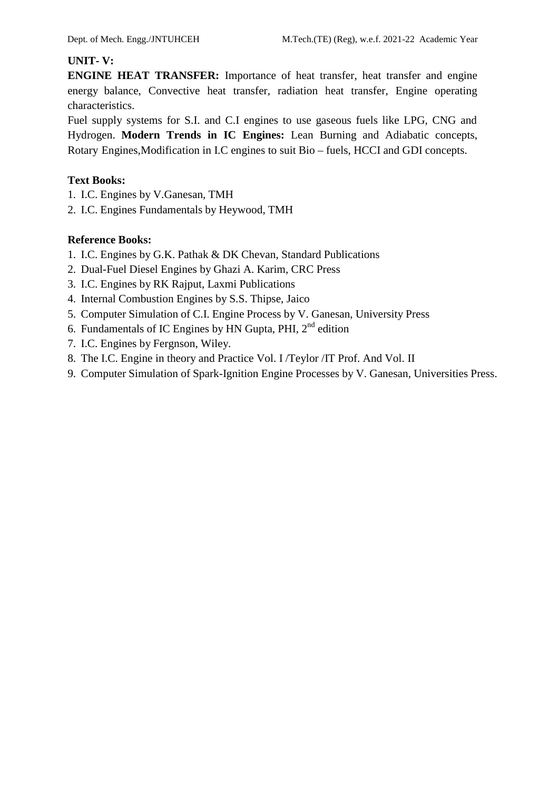#### **UNIT- V:**

**ENGINE HEAT TRANSFER:** Importance of heat transfer, heat transfer and engine energy balance, Convective heat transfer, radiation heat transfer, Engine operating characteristics.

Fuel supply systems for S.I. and C.I engines to use gaseous fuels like LPG, CNG and Hydrogen. **Modern Trends in IC Engines:** Lean Burning and Adiabatic concepts, Rotary Engines,Modification in I.C engines to suit Bio – fuels, HCCI and GDI concepts.

## **Text Books:**

- 1. I.C. Engines by V.Ganesan, TMH
- 2. I.C. Engines Fundamentals by Heywood, TMH

- 1. I.C. Engines by G.K. Pathak & DK Chevan, Standard Publications
- 2. Dual-Fuel Diesel Engines by Ghazi A. Karim, CRC Press
- 3. I.C. Engines by RK Rajput, Laxmi Publications
- 4. Internal Combustion Engines by S.S.Thipse, Jaico
- 5. Computer Simulation of C.I. Engine Process by V. Ganesan, University Press
- 6. Fundamentals of IC Engines by HN Gupta, PHI,  $2<sup>nd</sup>$  edition
- 7. I.C. Engines by Fergnson, Wiley.
- 8. The I.C. Engine in theory and Practice Vol. I /Teylor /IT Prof. And Vol. II
- 9. Computer Simulation of Spark-Ignition Engine Processes by V. Ganesan, Universities Press.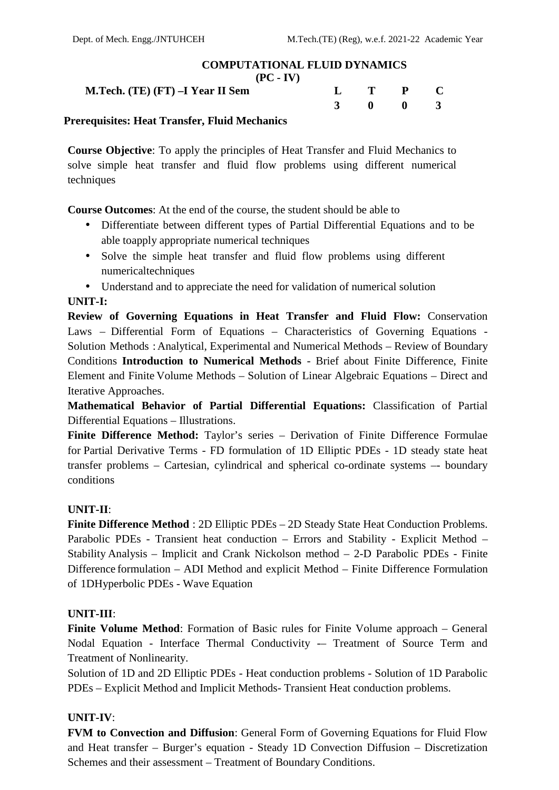## **COMPUTATIONAL FLUID DYNAMICS**

**(PC - IV)**

**M.Tech. (TE) (FT)**  $-$ **I** Year **II** Sen

| n |  | $L$ T P C                      |  |
|---|--|--------------------------------|--|
|   |  | $3 \qquad 0 \qquad 0 \qquad 3$ |  |

#### **Prerequisites: Heat Transfer, Fluid Mechanics**

**Course Objective**: To apply the principles of Heat Transfer and Fluid Mechanics to solve simple heat transfer and fluid flow problems using different numerical techniques

**Course Outcomes**: At the end of the course, the student should be able to

- Differentiate between different types of Partial Differential Equations and to be able toapply appropriate numerical techniques
- Solve the simple heat transfer and fluid flow problems using different numericaltechniques
- Understand and to appreciate the need for validation of numerical solution

## **UNIT-I:**

**Review of Governing Equations in Heat Transfer and Fluid Flow:** Conservation Laws – Differential Form of Equations – Characteristics of Governing Equations - Solution Methods :Analytical, Experimental and Numerical Methods – Review of Boundary Conditions **Introduction to Numerical Methods** - Brief about Finite Difference, Finite Element and Finite Volume Methods – Solution of Linear Algebraic Equations – Direct and Iterative Approaches.

**Mathematical Behavior of Partial Differential Equations:** Classification of Partial Differential Equations – Illustrations.

**Finite Difference Method:** Taylor's series – Derivation of Finite Difference Formulae for Partial Derivative Terms - FD formulation of 1D Elliptic PDEs - 1D steady state heat transfer problems – Cartesian, cylindrical and spherical co-ordinate systems –- boundary conditions

## **UNIT-II**:

**Finite Difference Method** : 2D Elliptic PDEs – 2D Steady State Heat Conduction Problems. Parabolic PDEs - Transient heat conduction – Errors and Stability - Explicit Method – Stability Analysis – Implicit and Crank Nickolson method – 2-D Parabolic PDEs - Finite Difference formulation – ADI Method and explicit Method – Finite Difference Formulation of 1DHyperbolic PDEs - Wave Equation

#### **UNIT-III**:

**Finite Volume Method:** Formation of Basic rules for Finite Volume approach – General Nodal Equation - Interface Thermal Conductivity -– Treatment of Source Term and Treatment of Nonlinearity.

Solution of 1D and 2D Elliptic PDEs - Heat conduction problems - Solution of 1D Parabolic PDEs – Explicit Method and Implicit Methods- Transient Heat conduction problems.

## **UNIT-IV**:

**FVM to Convection and Diffusion**: General Form of Governing Equations for Fluid Flow and Heat transfer – Burger's equation - Steady 1D Convection Diffusion – Discretization Schemes and their assessment – Treatment of Boundary Conditions.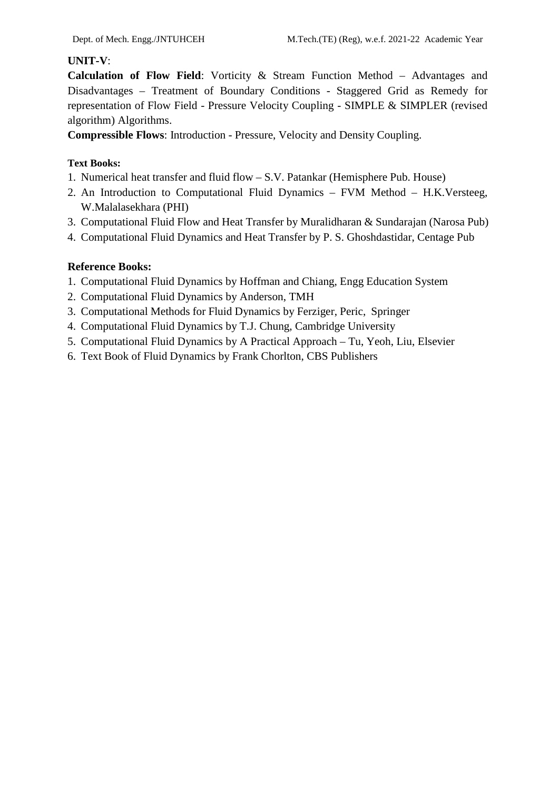## **UNIT-V**:

**Calculation of Flow Field**: Vorticity & Stream Function Method – Advantages and Disadvantages – Treatment of Boundary Conditions - Staggered Grid as Remedy for representation of Flow Field - Pressure Velocity Coupling - SIMPLE & SIMPLER (revised algorithm) Algorithms.

**Compressible Flows**: Introduction - Pressure, Velocity and Density Coupling.

## **Text Books:**

- 1. Numerical heat transfer and fluid flow S.V. Patankar (Hemisphere Pub. House)
- 2. An Introduction to Computational Fluid Dynamics FVM Method H.K.Versteeg, W.Malalasekhara (PHI)
- 3. Computational Fluid Flow and Heat Transfer by Muralidharan & Sundarajan (Narosa Pub)
- 4. Computational Fluid Dynamics and Heat Transfer by P. S. Ghoshdastidar, Centage Pub

- 1. Computational Fluid Dynamics by Hoffman and Chiang, Engg Education System
- 2. Computational Fluid Dynamics by Anderson, TMH
- 3. Computational Methods for Fluid Dynamics by Ferziger, Peric, Springer
- 4. Computational Fluid Dynamics by T.J. Chung, Cambridge University
- 5. Computational Fluid Dynamics by A Practical Approach Tu, Yeoh, Liu, Elsevier
- 6. Text Book of Fluid Dynamics by Frank Chorlton, CBS Publishers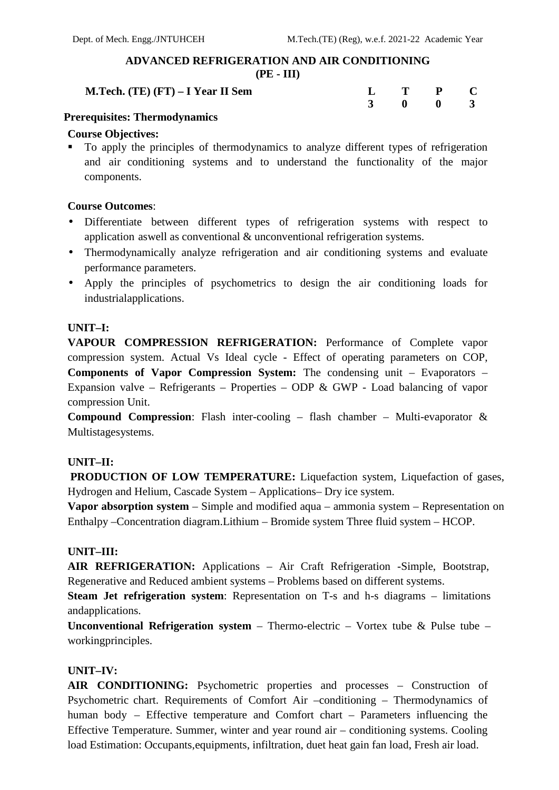# **ADVANCED REFRIGERATION AND AIR CONDITIONING**

**(PE - III)**

| <b>M.Tech.</b> (TE) (FT) $-$ I Year II Sem |  | $L$ T P C |  |
|--------------------------------------------|--|-----------|--|
|                                            |  | 3 0 0 3   |  |
| ----                                       |  |           |  |

## **Prerequisites: Thermodynamics**

## **Course Objectives:**

 To apply the principles of thermodynamics to analyze different types of refrigeration and air conditioning systems and to understand the functionality of the major components.

## **Course Outcomes**:

- Differentiate between different types of refrigeration systems with respect to application aswell as conventional & unconventional refrigeration systems.
- Thermodynamically analyze refrigeration and air conditioning systems and evaluate performance parameters.
- Apply the principles of psychometrics to design the air conditioning loads for industrialapplications.

## **UNIT–I:**

**VAPOUR COMPRESSION REFRIGERATION:** Performance of Complete vapor compression system. Actual Vs Ideal cycle - Effect of operating parameters on COP, **Components of Vapor Compression System:** The condensing unit – Evaporators – Expansion valve – Refrigerants – Properties – ODP & GWP - Load balancing of vapor compression Unit.

**Compound Compression**: Flash inter-cooling – flash chamber – Multi-evaporator & Multistagesystems.

## **UNIT–II:**

**PRODUCTION OF LOW TEMPERATURE:** Liquefaction system, Liquefaction of gases, Hydrogen and Helium, Cascade System – Applications– Dry ice system.

**Vapor absorption system** – Simple and modified aqua – ammonia system – Representation on Enthalpy –Concentration diagram.Lithium – Bromide system Three fluid system – HCOP.

## **UNIT–III:**

**AIR REFRIGERATION:** Applications – Air Craft Refrigeration -Simple, Bootstrap, Regenerative and Reduced ambient systems – Problems based on different systems.

**Steam Jet refrigeration system**: Representation on T-s and h-s diagrams – limitations andapplications.

**Unconventional Refrigeration system** – Thermo-electric – Vortex tube & Pulse tube – workingprinciples.

## **UNIT–IV:**

**AIR CONDITIONING:** Psychometric properties and processes – Construction of Psychometric chart. Requirements of Comfort Air –conditioning – Thermodynamics of human body – Effective temperature and Comfort chart – Parameters influencing the Effective Temperature. Summer, winter and year round air – conditioning systems. Cooling load Estimation: Occupants,equipments, infiltration, duet heat gain fan load, Fresh air load.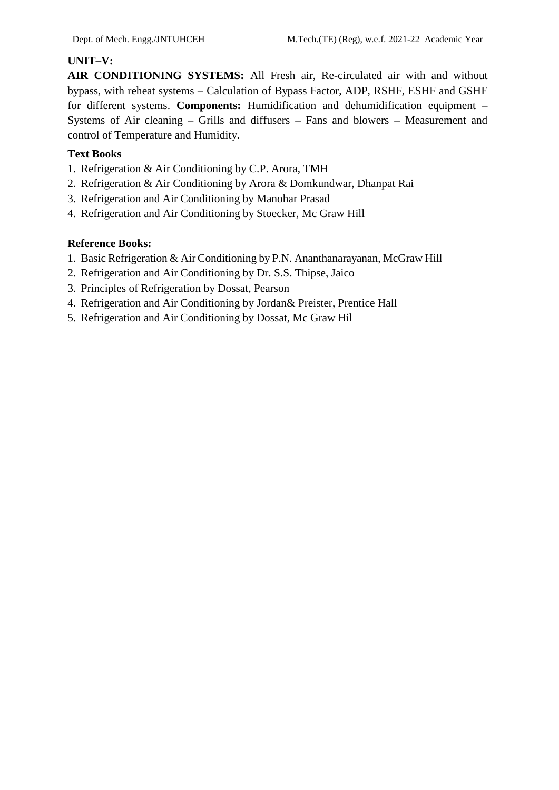## **UNIT–V:**

**AIR CONDITIONING SYSTEMS:** All Fresh air, Re-circulated air with and without bypass, with reheat systems – Calculation of Bypass Factor, ADP, RSHF, ESHF and GSHF for different systems. **Components:** Humidification and dehumidification equipment – Systems of Air cleaning – Grills and diffusers – Fans and blowers – Measurement and control of Temperature and Humidity.

## **Text Books**

- 1. Refrigeration & Air Conditioning by C.P. Arora, TMH
- 2. Refrigeration & Air Conditioning by Arora & Domkundwar, Dhanpat Rai
- 3. Refrigeration and Air Conditioning by Manohar Prasad
- 4. Refrigeration and Air Conditioning by Stoecker, Mc Graw Hill

- 1. Basic Refrigeration & Air Conditioning by P.N. Ananthanarayanan, McGraw Hill
- 2. Refrigeration and Air Conditioning by Dr. S.S. Thipse, Jaico
- 3. Principles of Refrigeration by Dossat, Pearson
- 4. Refrigeration and Air Conditioning by Jordan& Preister, Prentice Hall
- 5. Refrigeration and Air Conditioning by Dossat, Mc Graw Hil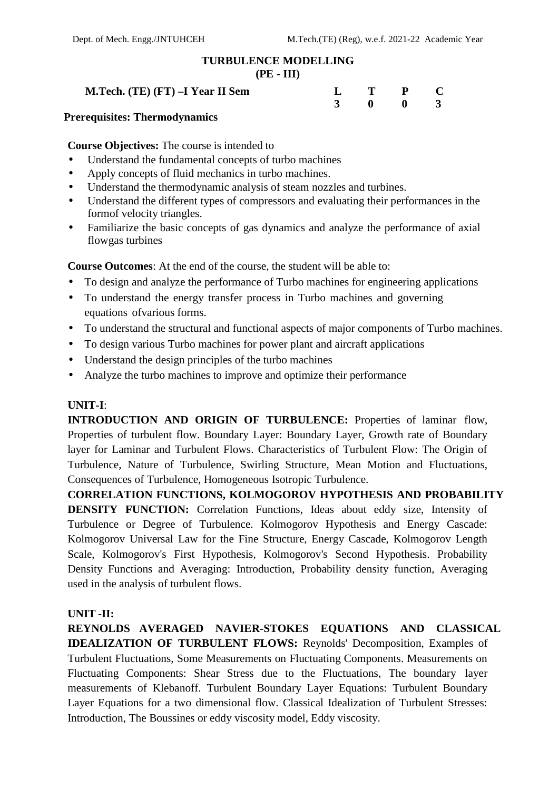# **TURBULENCE MODELLING**

#### **(PE - III)**

**M.Tech. (TE) (FT) –I Year II Sem L T P C**

# **3 0 0 3**

#### **Prerequisites: Thermodynamics**

**Course Objectives:** The course is intended to

- Understand the fundamental concepts of turbo machines
- Apply concepts of fluid mechanics in turbo machines.
- Understand the thermodynamic analysis of steam nozzles and turbines.
- Understand the different types of compressors and evaluating their performances in the formof velocity triangles.
- Familiarize the basic concepts of gas dynamics and analyze the performance of axial flowgas turbines

**Course Outcomes**: At the end of the course, the student will be able to:

- To design and analyze the performance of Turbo machines for engineering applications
- To understand the energy transfer process in Turbo machines and governing equations ofvarious forms.
- To understand the structural and functional aspects of major components of Turbo machines.
- To design various Turbo machines for power plant and aircraft applications
- Understand the design principles of the turbo machines
- Analyze the turbo machines to improve and optimize their performance

#### **UNIT-I**:

**INTRODUCTION AND ORIGIN OF TURBULENCE:** Properties of laminar flow, Properties of turbulent flow. Boundary Layer: Boundary Layer, Growth rate of Boundary layer for Laminar and Turbulent Flows. Characteristics of Turbulent Flow: The Origin of Turbulence, Nature of Turbulence, Swirling Structure, Mean Motion and Fluctuations, Consequences of Turbulence, Homogeneous Isotropic Turbulence.

**CORRELATION FUNCTIONS, KOLMOGOROV HYPOTHESIS AND PROBABILITY DENSITY FUNCTION:** Correlation Functions, Ideas about eddy size, Intensity of Turbulence or Degree of Turbulence. Kolmogorov Hypothesis and Energy Cascade: Kolmogorov Universal Law for the Fine Structure, Energy Cascade, Kolmogorov Length Scale, Kolmogorov's First Hypothesis, Kolmogorov's Second Hypothesis. Probability Density Functions and Averaging: Introduction, Probability density function, Averaging used in the analysis of turbulent flows.

#### **UNIT -II:**

**REYNOLDS AVERAGED NAVIER-STOKES EQUATIONS AND CLASSICAL IDEALIZATION OF TURBULENT FLOWS:** Reynolds' Decomposition, Examples of Turbulent Fluctuations, Some Measurements on Fluctuating Components. Measurements on Fluctuating Components: Shear Stress due to the Fluctuations, The boundary layer measurements of Klebanoff. Turbulent Boundary Layer Equations: Turbulent Boundary Layer Equations for a two dimensional flow. Classical Idealization of Turbulent Stresses: Introduction, The Boussines or eddy viscosity model, Eddy viscosity.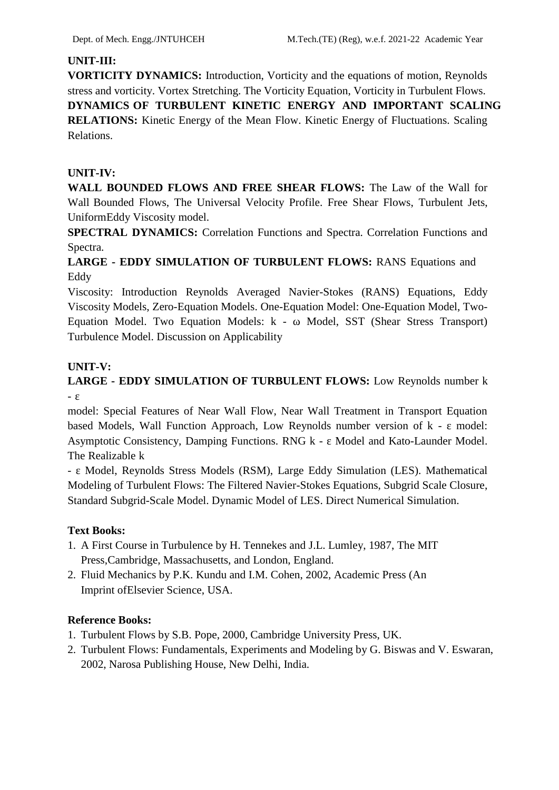## **UNIT-III:**

**VORTICITY DYNAMICS:** Introduction, Vorticity and the equations of motion, Reynolds stress and vorticity. Vortex Stretching. The Vorticity Equation, Vorticity in Turbulent Flows. **DYNAMICS OF TURBULENT KINETIC ENERGY AND IMPORTANT SCALING RELATIONS:** Kinetic Energy of the Mean Flow. Kinetic Energy of Fluctuations. Scaling Relations.

## **UNIT-IV:**

**WALL BOUNDED FLOWS AND FREE SHEAR FLOWS:** The Law of the Wall for Wall Bounded Flows, The Universal Velocity Profile. Free Shear Flows, Turbulent Jets, UniformEddy Viscosity model.

**SPECTRAL DYNAMICS:** Correlation Functions and Spectra. Correlation Functions and Spectra.

# **LARGE - EDDY SIMULATION OF TURBULENT FLOWS:** RANS Equations and Eddy

Viscosity: Introduction Reynolds Averaged Navier-Stokes (RANS) Equations, Eddy Viscosity Models, Zero-Equation Models. One-Equation Model: One-Equation Model, Two- Equation Model. Two Equation Models: k - Model, SST (Shear Stress Transport) Turbulence Model. Discussion on Applicability

## **UNIT-V:**

# **LARGE - EDDY SIMULATION OF TURBULENT FLOWS:** Low Reynolds number k

model: Special Features of Near Wall Flow, Near Wall Treatment in Transport Equation based Models, Wall Function Approach, Low Reynolds number version of k - model: Asymptotic Consistency, Damping Functions. RNG k - Model and Kato-Launder Model. The Realizable k

- Model, Reynolds Stress Models (RSM), Large Eddy Simulation (LES). Mathematical Modeling of Turbulent Flows: The Filtered Navier-Stokes Equations, Subgrid Scale Closure, Standard Subgrid-Scale Model. Dynamic Model of LES. Direct Numerical Simulation.

## **Text Books:**

- 1. A First Course in Turbulence by H. Tennekes and J.L. Lumley, 1987, The MIT Press,Cambridge, Massachusetts, and London, England.
- 2. Fluid Mechanics by P.K. Kundu and I.M. Cohen, 2002, Academic Press (An Imprint ofElsevier Science, USA.

- 1. Turbulent Flows by S.B. Pope, 2000, Cambridge University Press, UK.
- 2. Turbulent Flows: Fundamentals, Experiments and Modeling by G. Biswas and V. Eswaran, 2002, Narosa Publishing House, New Delhi, India.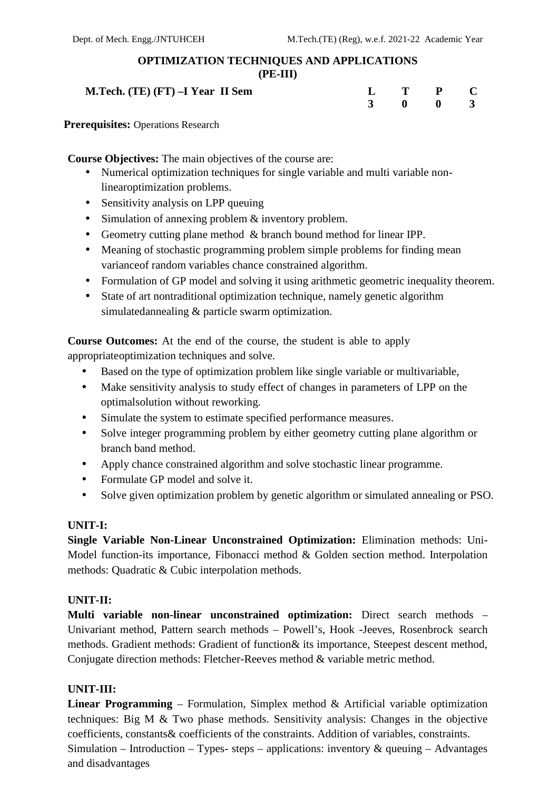#### **OPTIMIZATION TECHNIQUES AND APPLICATIONS (PE-III)**

**M.Tech.** (TE) (FT)  $-I$  Year II Sem

| L                       |   | P |              |  |
|-------------------------|---|---|--------------|--|
| $\overline{\mathbf{3}}$ | 0 | 0 | $\mathbf{R}$ |  |

**Prerequisites:** Operations Research

**Course Objectives:** The main objectives of the course are:

- Numerical optimization techniques for single variable and multi variable nonlinearoptimization problems.
- Sensitivity analysis on LPP queuing
- Simulation of annexing problem & inventory problem.
- Geometry cutting plane method & branch bound method for linear IPP.
- Meaning of stochastic programming problem simple problems for finding mean varianceof random variables chance constrained algorithm.
- Formulation of GP model and solving it using arithmetic geometric inequality theorem.
- State of art nontraditional optimization technique, namely genetic algorithm simulatedannealing & particle swarm optimization.

**Course Outcomes:** At the end of the course, the student is able to apply appropriateoptimization techniques and solve.

- Based on the type of optimization problem like single variable or multivariable,
- Make sensitivity analysis to study effect of changes in parameters of LPP on the optimalsolution without reworking.
- Simulate the system to estimate specified performance measures.
- Solve integer programming problem by either geometry cutting plane algorithm or branch band method.
- Apply chance constrained algorithm and solve stochastic linear programme.
- Formulate GP model and solve it.
- Solve given optimization problem by genetic algorithm or simulated annealing or PSO.

## **UNIT-I:**

**Single Variable Non-Linear Unconstrained Optimization:** Elimination methods: Uni- Model function-its importance, Fibonacci method & Golden section method. Interpolation methods: Quadratic & Cubic interpolation methods.

## **UNIT-II:**

**Multi variable non-linear unconstrained optimization:** Direct search methods – Univariant method, Pattern search methods – Powell's, Hook -Jeeves, Rosenbrock search methods. Gradient methods: Gradient of function& its importance, Steepest descent method, Conjugate direction methods: Fletcher-Reeves method & variable metric method.

# **UNIT-III:**

**Linear Programming** – Formulation, Simplex method & Artificial variable optimization techniques: Big M & Two phase methods. Sensitivity analysis: Changes in the objective coefficients, constants& coefficients of the constraints. Addition of variables, constraints. Simulation – Introduction – Types- steps – applications: inventory  $\&$  queuing – Advantages and disadvantages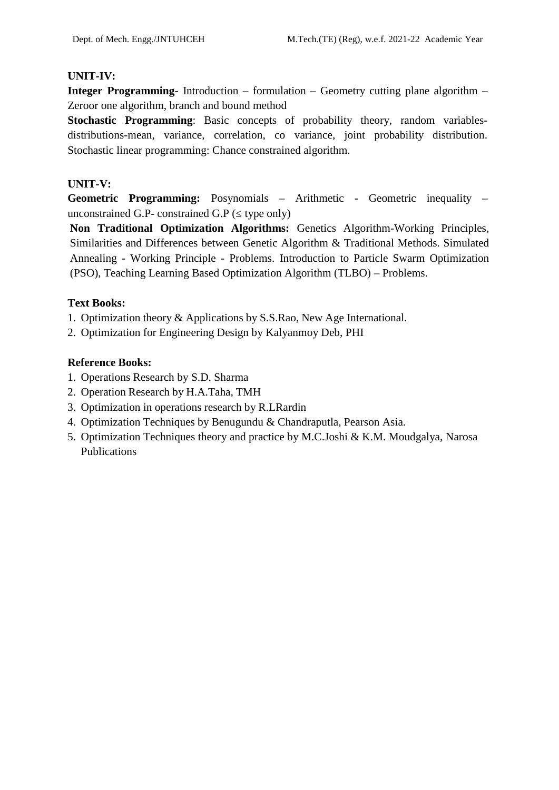## **UNIT-IV:**

**Integer Programming**- Introduction – formulation – Geometry cutting plane algorithm – Zeroor one algorithm, branch and bound method

**Stochastic Programming**: Basic concepts of probability theory, random variables distributions-mean, variance, correlation, co variance, joint probability distribution. Stochastic linear programming: Chance constrained algorithm.

## **UNIT-V:**

**Geometric Programming:** Posynomials – Arithmetic - Geometric inequality – unconstrained G.P- constrained G.P ( type only)

**Non Traditional Optimization Algorithms:** Genetics Algorithm-Working Principles, Similarities and Differences between Genetic Algorithm & Traditional Methods. Simulated Annealing - Working Principle - Problems. Introduction to Particle Swarm Optimization (PSO), Teaching Learning Based Optimization Algorithm (TLBO) – Problems.

## **Text Books:**

- 1. Optimization theory & Applications by S.S.Rao, New Age International.
- 2. Optimization for Engineering Design by Kalyanmoy Deb, PHI

- 1. Operations Research by S.D. Sharma
- 2. Operation Research by H.A.Taha, TMH
- 3. Optimization in operations research by R.LRardin
- 4. Optimization Techniques by Benugundu & Chandraputla, Pearson Asia.
- 5. Optimization Techniques theory and practice by M.C.Joshi & K.M. Moudgalya, Narosa Publications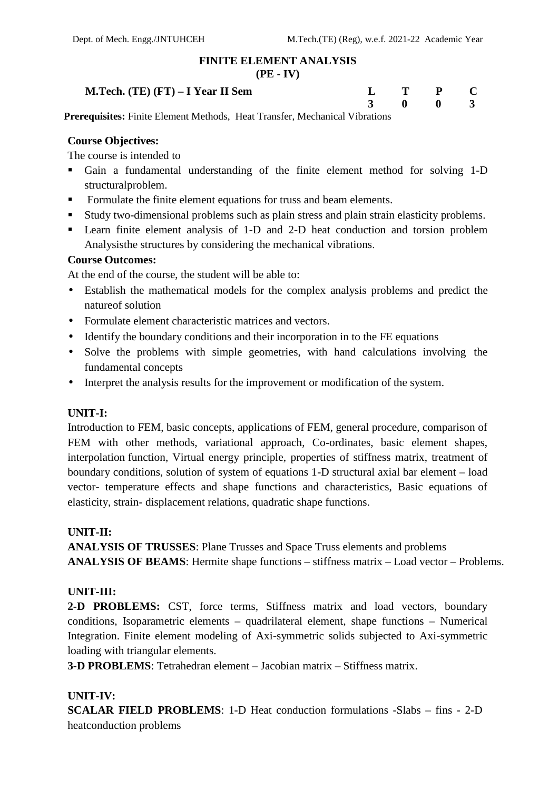#### **FINITE ELEMENT ANALYSIS**

#### **(PE - IV)**

**M.Tech. (TE) (FT) – I Year II Sem L T P C**

| L | T        | $\mathbf{P}$ | C                       |  |
|---|----------|--------------|-------------------------|--|
| 3 | $\bf{0}$ | $\bf{0}$     | $\overline{\mathbf{3}}$ |  |

**Prerequisites:** Finite Element Methods, Heat Transfer, Mechanical Vibrations

#### **Course Objectives:**

The course is intended to

- Gain a fundamental understanding of the finite element method for solving 1-D structuralproblem.
- Formulate the finite element equations for truss and beam elements.
- Study two-dimensional problems such as plain stress and plain strain elasticity problems.
- Learn finite element analysis of 1-D and 2-D heat conduction and torsion problem Analysisthe structures by considering the mechanical vibrations.

#### **Course Outcomes:**

At the end of the course, the student will be able to:

- Establish the mathematical models for the complex analysis problems and predict the natureof solution
- Formulate element characteristic matrices and vectors.
- Identify the boundary conditions and their incorporation in to the FE equations
- Solve the problems with simple geometries, with hand calculations involving the fundamental concepts
- Interpret the analysis results for the improvement or modification of the system.

#### **UNIT-I:**

Introduction to FEM, basic concepts, applications of FEM, general procedure, comparison of FEM with other methods, variational approach, Co-ordinates, basic element shapes, interpolation function, Virtual energy principle, properties of stiffness matrix, treatment of boundary conditions, solution of system of equations 1-D structural axial bar element – load vector- temperature effects and shape functions and characteristics, Basic equations of elasticity, strain- displacement relations, quadratic shape functions.

#### **UNIT-II:**

**ANALYSIS OF TRUSSES**: Plane Trusses and Space Truss elements and problems **ANALYSIS OF BEAMS**: Hermite shape functions – stiffness matrix – Load vector – Problems.

#### **UNIT-III:**

**2-D PROBLEMS:** CST, force terms, Stiffness matrix and load vectors, boundary conditions, Isoparametric elements – quadrilateral element, shape functions – Numerical Integration. Finite element modeling of Axi-symmetric solids subjected to Axi-symmetric loading with triangular elements.

**3-D PROBLEMS**: Tetrahedran element – Jacobian matrix – Stiffness matrix.

#### **UNIT-IV:**

**SCALAR FIELD PROBLEMS**: 1-D Heat conduction formulations -Slabs – fins - 2-D heatconduction problems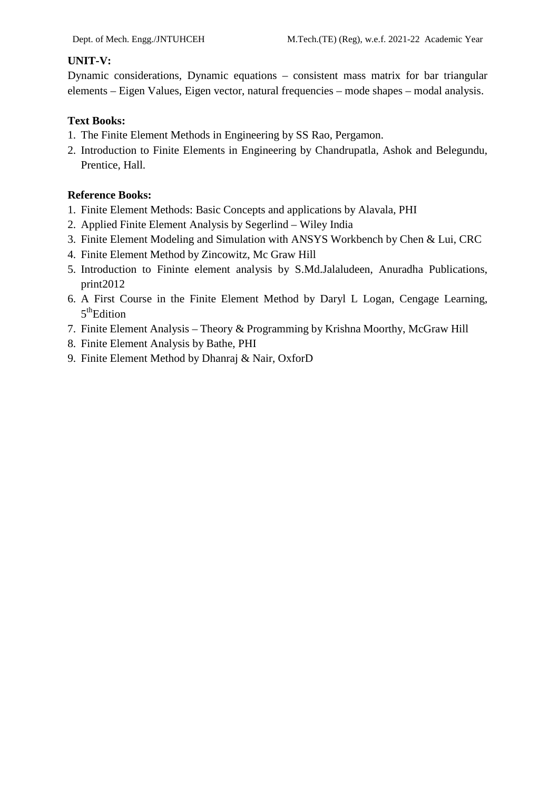#### **UNIT-V:**

Dynamic considerations, Dynamic equations – consistent mass matrix for bar triangular elements – Eigen Values, Eigen vector, natural frequencies – mode shapes – modal analysis.

## **Text Books:**

- 1. The Finite Element Methods in Engineering by SS Rao, Pergamon.
- 2. Introduction to Finite Elements in Engineering by Chandrupatla, Ashok and Belegundu, Prentice, Hall.

- 1. Finite Element Methods: Basic Concepts and applications by Alavala, PHI
- 2. Applied Finite Element Analysis by Segerlind Wiley India
- 3. Finite Element Modeling and Simulation with ANSYS Workbench by Chen & Lui, CRC
- 4. Finite Element Method by Zincowitz, Mc Graw Hill
- 5. Introduction to Fininte element analysis by S.Md.Jalaludeen, Anuradha Publications, print2012
- 6. A First Course in the Finite Element Method by Daryl L Logan, Cengage Learning, 5<sup>th</sup>Edition
- 7. Finite Element Analysis Theory & Programming by Krishna Moorthy, McGraw Hill
- 8. Finite Element Analysis by Bathe, PHI
- 9. Finite Element Method by Dhanraj & Nair, OxforD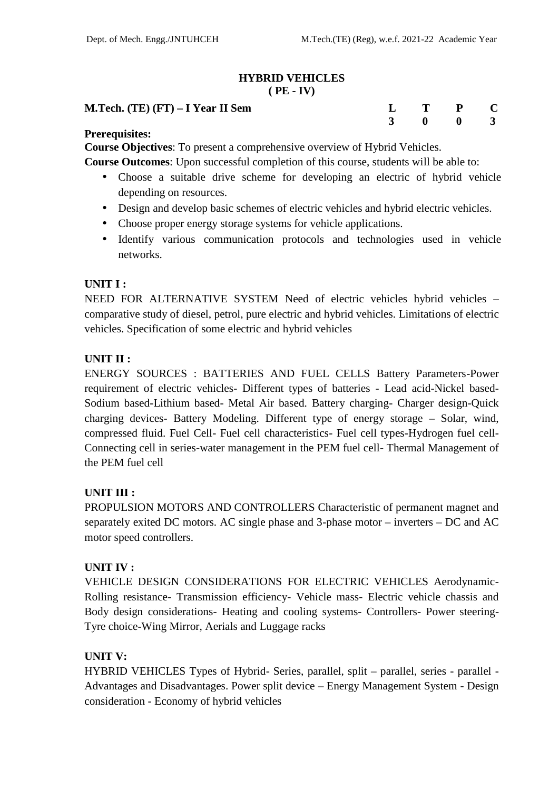**3 0 0 3**

# **HYBRID VEHICLES**

#### **( PE - IV)**

#### **M.Tech. (TE) (FT) – I Year II Sem L T P C**

#### **Prerequisites:**

**Course Objectives**: To present a comprehensive overview of Hybrid Vehicles.

**Course Outcomes**: Upon successful completion of this course, students will be able to:

- Choose a suitable drive scheme for developing an electric of hybrid vehicle depending on resources.
- Design and develop basic schemes of electric vehicles and hybrid electric vehicles.
- Choose proper energy storage systems for vehicle applications.
- Identify various communication protocols and technologies used in vehicle networks.

## **UNIT I :**

NEED FOR ALTERNATIVE SYSTEM Need of electric vehicles hybrid vehicles – comparative study of diesel, petrol, pure electric and hybrid vehicles. Limitations of electric vehicles. Specification of some electric and hybrid vehicles

## **UNIT II :**

ENERGY SOURCES : BATTERIES AND FUEL CELLS Battery Parameters-Power requirement of electric vehicles- Different types of batteries - Lead acid-Nickel based- Sodium based-Lithium based- Metal Air based. Battery charging- Charger design-Quick charging devices- Battery Modeling. Different type of energy storage – Solar, wind, compressed fluid. Fuel Cell- Fuel cell characteristics- Fuel cell types-Hydrogen fuel cell- Connecting cell in series-water management in the PEM fuel cell- Thermal Management of the PEM fuel cell

## **UNIT III :**

PROPULSION MOTORS AND CONTROLLERS Characteristic of permanent magnet and separately exited DC motors. AC single phase and 3-phase motor – inverters – DC and AC motor speed controllers.

#### **UNIT IV :**

VEHICLE DESIGN CONSIDERATIONS FOR ELECTRIC VEHICLES Aerodynamic- Rolling resistance- Transmission efficiency- Vehicle mass- Electric vehicle chassis and Body design considerations- Heating and cooling systems- Controllers- Power steering- Tyre choice-Wing Mirror, Aerials and Luggage racks

#### **UNIT V:**

HYBRID VEHICLES Types of Hybrid- Series, parallel, split – parallel, series - parallel - Advantages and Disadvantages. Power split device – Energy Management System - Design consideration - Economy of hybrid vehicles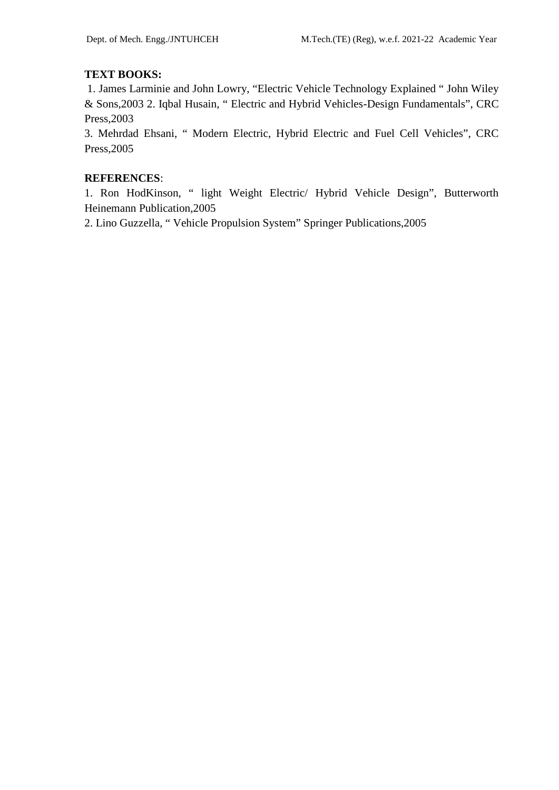# **TEXT BOOKS:**

1. James Larminie and John Lowry, "Electric Vehicle Technology Explained " John Wiley & Sons,2003 2. Iqbal Husain, " Electric and Hybrid Vehicles-Design Fundamentals", CRC Press,2003

3. Mehrdad Ehsani, " Modern Electric, Hybrid Electric and Fuel Cell Vehicles", CRC Press,2005

## **REFERENCES**:

1. Ron HodKinson, " light Weight Electric/ Hybrid Vehicle Design", Butterworth Heinemann Publication,2005

2. Lino Guzzella, " Vehicle Propulsion System" Springer Publications,2005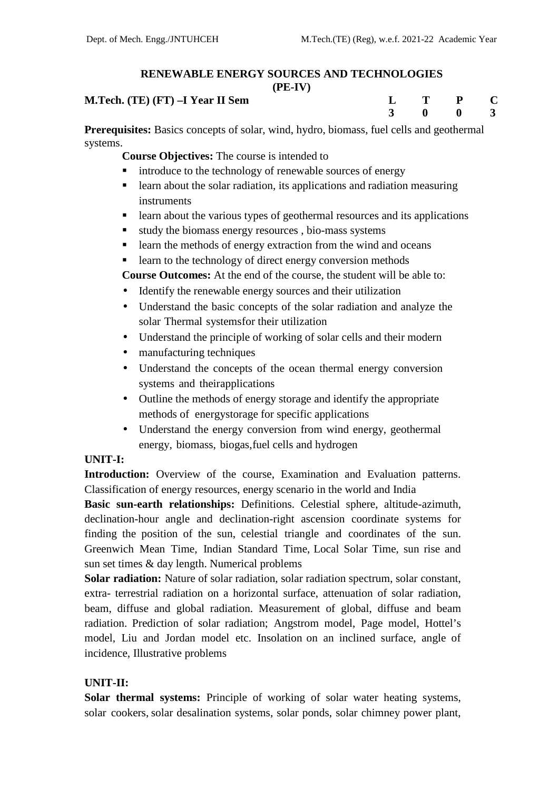#### **RENEWABLE ENERGY SOURCES AND TECHNOLOGIES (PE-IV)**

|                                  | . <i>.</i> |  |           |  |
|----------------------------------|------------|--|-----------|--|
| M.Tech. (TE) (FT) –I Year II Sem |            |  | $L$ T P C |  |
|                                  |            |  | 3 0 0 3   |  |

**Prerequisites:** Basics concepts of solar, wind, hydro, biomass, fuel cells and geothermal systems.

**Course Objectives:** The course is intended to

- introduce to the technology of renewable sources of energy
- learn about the solar radiation, its applications and radiation measuring instruments
- **Example 1** learn about the various types of geothermal resources and its applications
- study the biomass energy resources , bio-mass systems
- learn the methods of energy extraction from the wind and oceans

**Example 1** learn to the technology of direct energy conversion methods

**Course Outcomes:** At the end of the course, the student will be able to:

- Identify the renewable energy sources and their utilization
- Understand the basic concepts of the solar radiation and analyze the solar Thermal systemsfor their utilization
- Understand the principle of working of solar cells and their modern
- manufacturing techniques
- Understand the concepts of the ocean thermal energy conversion systems and theirapplications
- Outline the methods of energy storage and identify the appropriate methods of energystorage for specific applications
- Understand the energy conversion from wind energy, geothermal energy, biomass, biogas,fuel cells and hydrogen

# **UNIT-I:**

**Introduction:** Overview of the course, Examination and Evaluation patterns. Classification of energy resources, energy scenario in the world and India

**Basic sun-earth relationships:** Definitions. Celestial sphere, altitude-azimuth, declination-hour angle and declination-right ascension coordinate systems for finding the position of the sun, celestial triangle and coordinates of the sun. Greenwich Mean Time, Indian Standard Time, Local Solar Time, sun rise and sun set times & day length. Numerical problems

**Solar radiation:** Nature of solar radiation, solar radiation spectrum, solar constant, extra- terrestrial radiation on a horizontal surface, attenuation of solar radiation, beam, diffuse and global radiation. Measurement of global, diffuse and beam radiation. Prediction of solar radiation; Angstrom model, Page model, Hottel's model, Liu and Jordan model etc. Insolation on an inclined surface, angle of incidence, Illustrative problems

# **UNIT-II:**

**Solar thermal systems:** Principle of working of solar water heating systems, solar cookers, solar desalination systems, solar ponds, solar chimney power plant,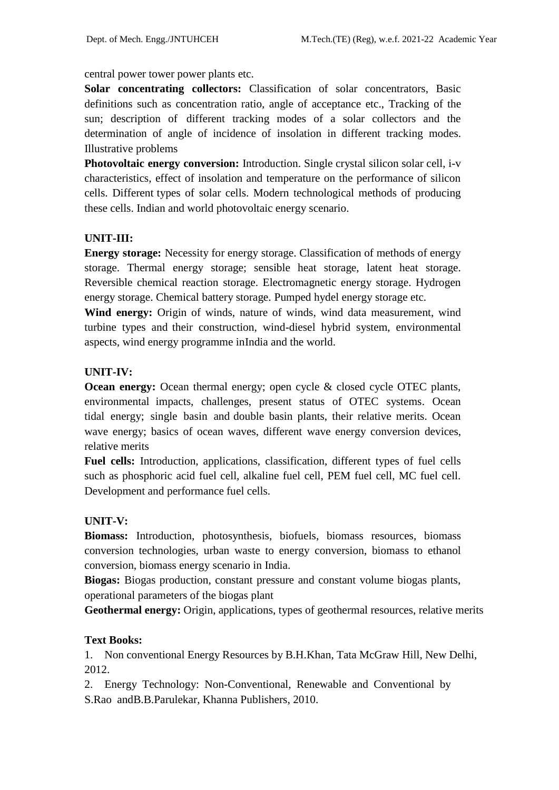central power tower power plants etc.

**Solar concentrating collectors:** Classification of solar concentrators, Basic definitions such as concentration ratio, angle of acceptance etc., Tracking of the sun; description of different tracking modes of a solar collectors and the determination of angle of incidence of insolation in different tracking modes. Illustrative problems

**Photovoltaic energy conversion:** Introduction. Single crystal silicon solar cell, i-v characteristics, effect of insolation and temperature on the performance of silicon cells. Different types of solar cells. Modern technological methods of producing these cells. Indian and world photovoltaic energy scenario.

#### **UNIT-III:**

**Energy storage:** Necessity for energy storage. Classification of methods of energy storage. Thermal energy storage; sensible heat storage, latent heat storage. Reversible chemical reaction storage. Electromagnetic energy storage. Hydrogen energy storage. Chemical battery storage. Pumped hydel energy storage etc.

**Wind energy:** Origin of winds, nature of winds, wind data measurement, wind turbine types and their construction, wind-diesel hybrid system, environmental aspects, wind energy programme inIndia and the world.

#### **UNIT-IV:**

**Ocean energy:** Ocean thermal energy; open cycle & closed cycle OTEC plants, environmental impacts, challenges, present status of OTEC systems. Ocean tidal energy; single basin and double basin plants, their relative merits. Ocean wave energy; basics of ocean waves, different wave energy conversion devices, relative merits

**Fuel cells:** Introduction, applications, classification, different types of fuel cells such as phosphoric acid fuel cell, alkaline fuel cell, PEM fuel cell, MC fuel cell. Development and performance fuel cells.

#### **UNIT-V:**

**Biomass:** Introduction, photosynthesis, biofuels, biomass resources, biomass conversion technologies, urban waste to energy conversion, biomass to ethanol conversion, biomass energy scenario in India.

**Biogas:** Biogas production, constant pressure and constant volume biogas plants, operational parameters of the biogas plant

**Geothermal energy:** Origin, applications, types of geothermal resources, relative merits

#### **Text Books:**

1. Non conventional Energy Resources by B.H.Khan, Tata McGraw Hill, New Delhi, 2012.

2. Energy Technology: Non-Conventional, Renewable and Conventional by S.Rao andB.B.Parulekar, Khanna Publishers, 2010.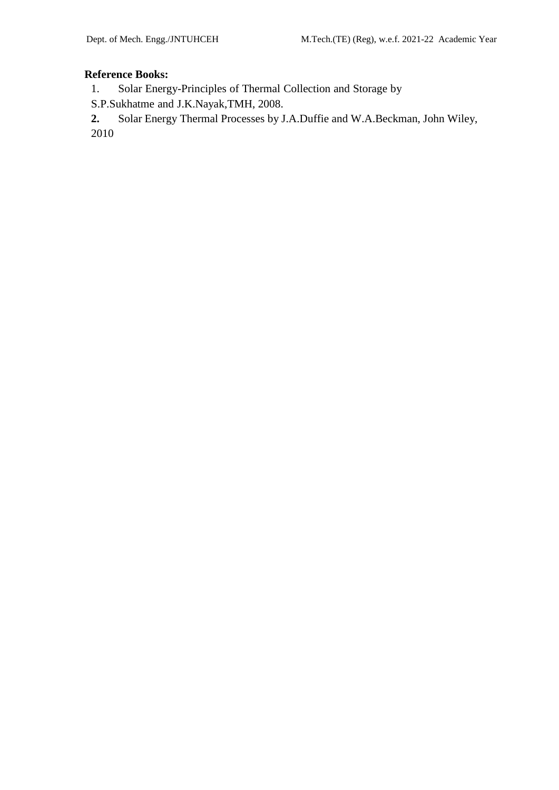## **Reference Books:**

1. Solar Energy-Principles of Thermal Collection and Storage by

S.P.Sukhatme and J.K.Nayak,TMH, 2008.

**2.** Solar Energy Thermal Processes by J.A.Duffie and W.A.Beckman, John Wiley, 2010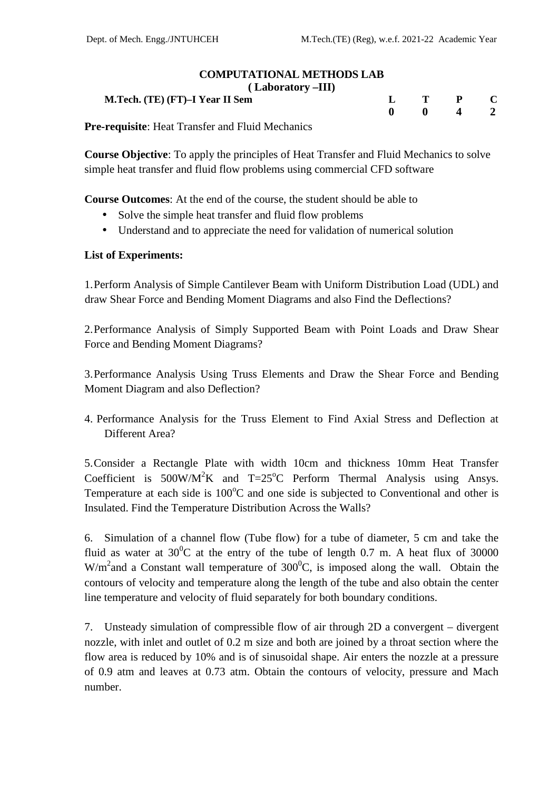#### **COMPUTATIONAL METHODS LAB ( Laboratory –III)**

| $\lambda$ Laborator $\lambda$ –111)                                                                                                                                                                                              |           |                                |  |  |
|----------------------------------------------------------------------------------------------------------------------------------------------------------------------------------------------------------------------------------|-----------|--------------------------------|--|--|
| M.Tech. (TE) (FT)–I Year II Sem                                                                                                                                                                                                  | $L$ T P C |                                |  |  |
|                                                                                                                                                                                                                                  |           | $0 \qquad 0 \qquad 4 \qquad 2$ |  |  |
| $\cdots$ . The contract of the state of the state of the state of the state of the state of the state of the state of the state of the state of the state of the state of the state of the state of the state of the state of th |           |                                |  |  |

**Pre-requisite**: Heat Transfer and Fluid Mechanics

**Course Objective**: To apply the principles of Heat Transfer and Fluid Mechanics to solve simple heat transfer and fluid flow problems using commercial CFD software

**Course Outcomes**: At the end of the course, the student should be able to

- Solve the simple heat transfer and fluid flow problems
- Understand and to appreciate the need for validation of numerical solution

## **List of Experiments:**

1.Perform Analysis of Simple Cantilever Beam with Uniform Distribution Load (UDL) and draw Shear Force and Bending Moment Diagrams and also Find the Deflections?

2.Performance Analysis of Simply Supported Beam with Point Loads and Draw Shear Force and Bending Moment Diagrams?

3.Performance Analysis Using Truss Elements and Draw the Shear Force and Bending Moment Diagram and also Deflection?

4. Performance Analysis for the Truss Element to Find Axial Stress and Deflection at Different Area?

5.Consider a Rectangle Plate with width 10cm and thickness 10mm Heat Transfer Coefficient is  $500W/M^2K$  and  $T=25^{\circ}C$  Perform Thermal Analysis using Ansys. Temperature at each side is  $100^{\circ}$ C and one side is subjected to Conventional and other is Insulated. Find the Temperature Distribution Across the Walls?

6. Simulation of a channel flow (Tube flow) for a tube of diameter, 5 cm and take the fluid as water at  $30^{\circ}$ C at the entry of the tube of length 0.7 m. A heat flux of 30000 W/m<sup>2</sup>and a Constant wall temperature of  $300^{\circ}$ C, is imposed along the wall. Obtain the contours of velocity and temperature along the length of the tube and also obtain the center line temperature and velocity of fluid separately for both boundary conditions.

7. Unsteady simulation of compressible flow of air through 2D a convergent – divergent nozzle, with inlet and outlet of 0.2 m size and both are joined by a throat section where the flow area is reduced by 10% and is of sinusoidal shape. Air enters the nozzle at a pressure of 0.9 atm and leaves at 0.73 atm. Obtain the contours of velocity, pressure and Mach number.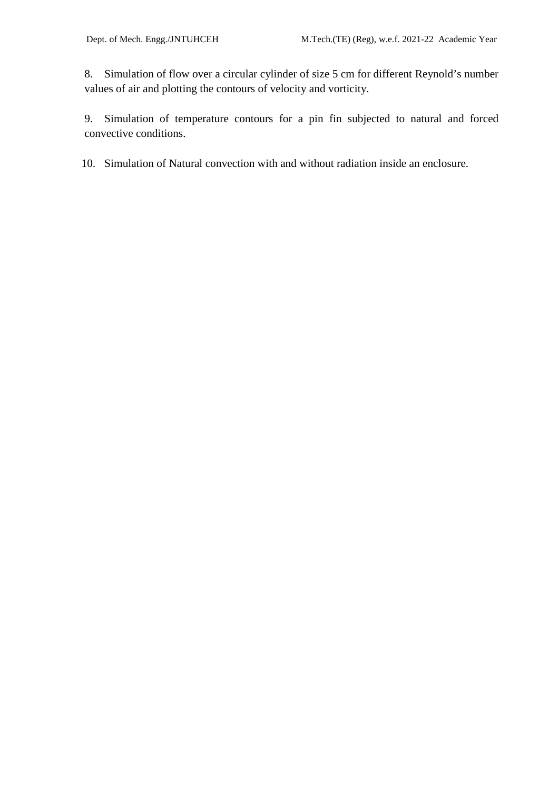8. Simulation of flow over a circular cylinder of size 5 cm for different Reynold's number values of air and plotting the contours of velocity and vorticity.

9. Simulation of temperature contours for a pin fin subjected to natural and forced convective conditions.

10. Simulation of Natural convection with and without radiation inside an enclosure.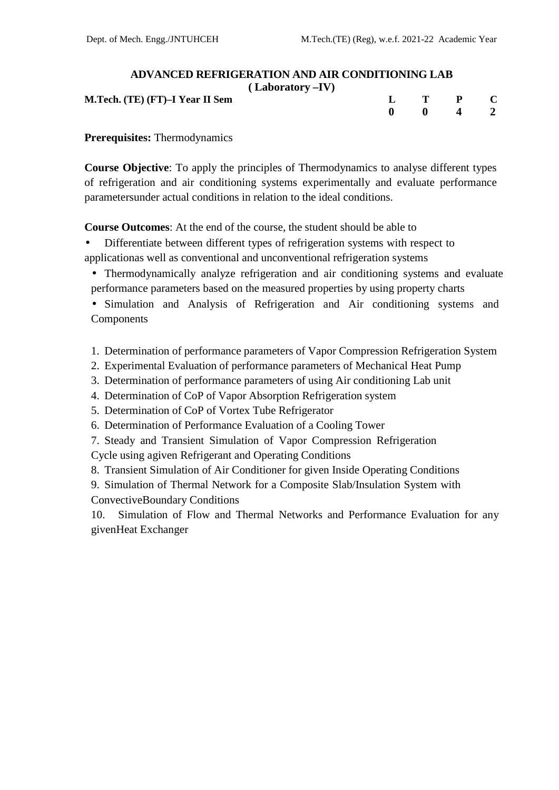| <b>ADVANCED REFRIGERATION AND AIR CONDITIONING LAB</b> |  |                               |  |
|--------------------------------------------------------|--|-------------------------------|--|
| $(Laboratory - IV)$                                    |  |                               |  |
| M.Tech. (TE) (FT)–I Year II Sem                        |  | $\mathbf{L}$ T P $\mathbf{C}$ |  |
|                                                        |  | $0 \t 0 \t 4 \t 2$            |  |

**Prerequisites:** Thermodynamics

**Course Objective**: To apply the principles of Thermodynamics to analyse different types of refrigeration and air conditioning systems experimentally and evaluate performance parametersunder actual conditions in relation to the ideal conditions.

**Course Outcomes**: At the end of the course, the student should be able to

- Differentiate between different types of refrigeration systems with respect to applicationas well as conventional and unconventional refrigeration systems
	- Thermodynamically analyze refrigeration and air conditioning systems and evaluate performance parameters based on the measured properties by using property charts
	- Simulation and Analysis of Refrigeration and Air conditioning systems and Components
	- 1. Determination of performance parameters of Vapor Compression Refrigeration System
	- 2. Experimental Evaluation of performance parameters of Mechanical Heat Pump
	- 3. Determination of performance parameters of using Air conditioning Lab unit
	- 4. Determination of CoP of Vapor Absorption Refrigeration system
	- 5. Determination of CoP of Vortex Tube Refrigerator
	- 6. Determination of Performance Evaluation of a Cooling Tower
	- 7. Steady and Transient Simulation of Vapor Compression Refrigeration

Cycle using agiven Refrigerant and Operating Conditions

- 8. Transient Simulation of Air Conditioner for given Inside Operating Conditions
- 9. Simulation of Thermal Network for a Composite Slab/Insulation System with ConvectiveBoundary Conditions

10. Simulation of Flow and Thermal Networks and Performance Evaluation for any givenHeat Exchanger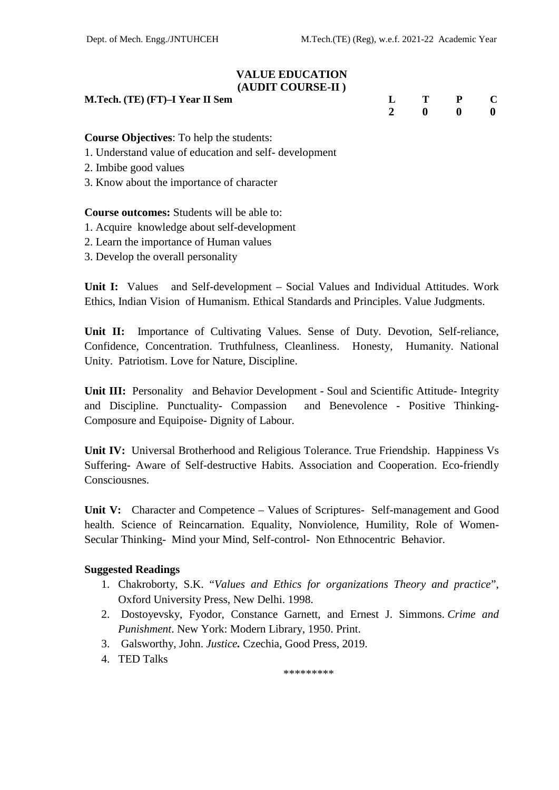#### **VALUE EDUCATION (AUDIT COURSE-II )**

**M.Tech.** (TE) **(FT)**-**I** Year **II** Sem

| $\mathbf{L}$   | $\mathbf{T}$ | $\mathbf{P}$ | $\mathbf C$ |  |
|----------------|--------------|--------------|-------------|--|
| $\overline{2}$ | $\bf{0}$     | $\bf{0}$     | - 0         |  |

**Course Objectives**: To help the students:

- 1. Understand value of education and self- development
- 2. Imbibe good values
- 3. Know about the importance of character

#### **Course outcomes:** Students will be able to:

- 1. Acquire knowledge about self-development
- 2. Learn the importance of Human values
- 3. Develop the overall personality

**Unit I:** Values and Self-development – Social Values and Individual Attitudes. Work Ethics, Indian Vision of Humanism. Ethical Standards and Principles. Value Judgments.

**Unit II:** Importance of Cultivating Values. Sense of Duty. Devotion, Self-reliance, Confidence, Concentration. Truthfulness, Cleanliness. Honesty, Humanity. National Unity. Patriotism. Love for Nature, Discipline.

**Unit III:** Personality and Behavior Development - Soul and Scientific Attitude- Integrity and Discipline. Punctuality- Compassion and Benevolence - Positive Thinking- Composure and Equipoise- Dignity of Labour.

**Unit IV:** Universal Brotherhood and Religious Tolerance. True Friendship. Happiness Vs Suffering- Aware of Self-destructive Habits. Association and Cooperation. Eco-friendly **Consciousnes** 

**Unit V:** Character and Competence – Values of Scriptures- Self-management and Good health. Science of Reincarnation. Equality, Nonviolence, Humility, Role of Women- Secular Thinking- Mind your Mind, Self-control- Non Ethnocentric Behavior.

## **Suggested Readings**

- 1. Chakroborty, S.K. "*Values and Ethics for organizations Theory and practice*", Oxford University Press, New Delhi. 1998.
- 2. Dostoyevsky, Fyodor, Constance Garnett, and Ernest J. Simmons. *Crime and Punishment*. New York: Modern Library, 1950. Print.
- 3. Galsworthy, John. *Justice.* Czechia, Good Press, 2019.
- 4. TED Talks

\*\*\*\*\*\*\*\*\*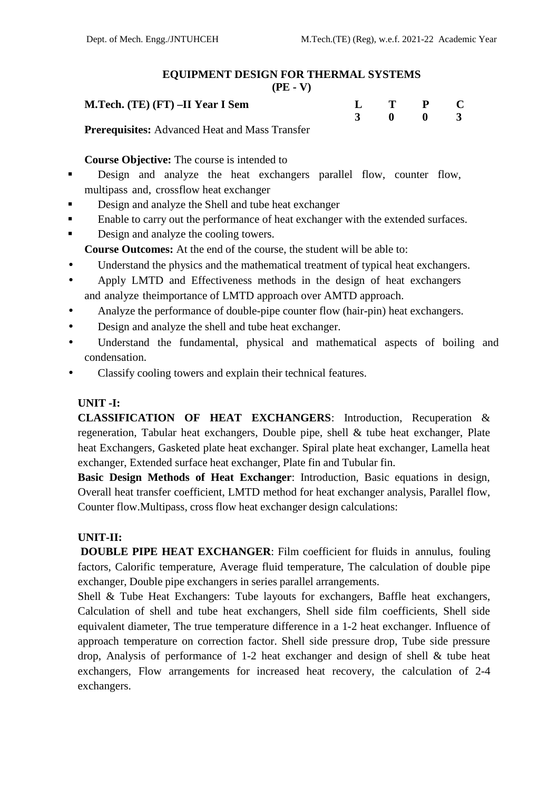# **EQUIPMENT DESIGN FOR THERMAL SYSTEMS**

|--|

| M.Tech. (TE) (FT) -II Year I Sem                                                                                                                                                            | $\mathbf{L}$ T P C |  |  |
|---------------------------------------------------------------------------------------------------------------------------------------------------------------------------------------------|--------------------|--|--|
|                                                                                                                                                                                             | 3 0 0 3            |  |  |
| $\mathbf{D}_{\text{model}}$ and $\mathbf{A}_{\text{model}}$ and $\mathbf{A}_{\text{model}}$ and $\mathbf{A}_{\text{model}}$ and $\mathbf{A}_{\text{model}}$ and $\mathbf{A}_{\text{model}}$ |                    |  |  |

**Prerequisites:** Advanced Heat and Mass Transfer

**Course Objective:** The course is intended to

- **Design and analyze the heat exchangers parallel flow, counter flow,** multipass and, crossflow heat exchanger
- Design and analyze the Shell and tube heat exchanger
- **Enable to carry out the performance of heat exchanger with the extended surfaces.**
- Design and analyze the cooling towers.

**Course Outcomes:** At the end of the course, the student will be able to:

- Understand the physics and the mathematical treatment of typical heat exchangers.
- Apply LMTD and Effectiveness methods in the design of heat exchangers and analyze theimportance of LMTD approach over AMTD approach.
- Analyze the performance of double-pipe counter flow (hair-pin) heat exchangers.
- Design and analyze the shell and tube heat exchanger.
- Understand the fundamental, physical and mathematical aspects of boiling and condensation.
- Classify cooling towers and explain their technical features.

## **UNIT -I:**

**CLASSIFICATION OF HEAT EXCHANGERS**: Introduction, Recuperation & regeneration, Tabular heat exchangers, Double pipe, shell & tube heat exchanger, Plate heat Exchangers, Gasketed plate heat exchanger. Spiral plate heat exchanger, Lamella heat exchanger, Extended surface heat exchanger, Plate fin and Tubular fin.

**Basic Design Methods of Heat Exchanger**: Introduction, Basic equations in design, Overall heat transfer coefficient, LMTD method for heat exchanger analysis, Parallel flow, Counter flow.Multipass, cross flow heat exchanger design calculations:

# **UNIT-II:**

**DOUBLE PIPE HEAT EXCHANGER**: Film coefficient for fluids in annulus, fouling factors, Calorific temperature, Average fluid temperature, The calculation of double pipe exchanger, Double pipe exchangers in series parallel arrangements.

Shell & Tube Heat Exchangers: Tube layouts for exchangers, Baffle heat exchangers, Calculation of shell and tube heat exchangers, Shell side film coefficients, Shell side equivalent diameter, The true temperature difference in a 1-2 heat exchanger. Influence of approach temperature on correction factor. Shell side pressure drop, Tube side pressure drop, Analysis of performance of 1-2 heat exchanger and design of shell  $&$  tube heat exchangers, Flow arrangements for increased heat recovery, the calculation of 2-4 exchangers.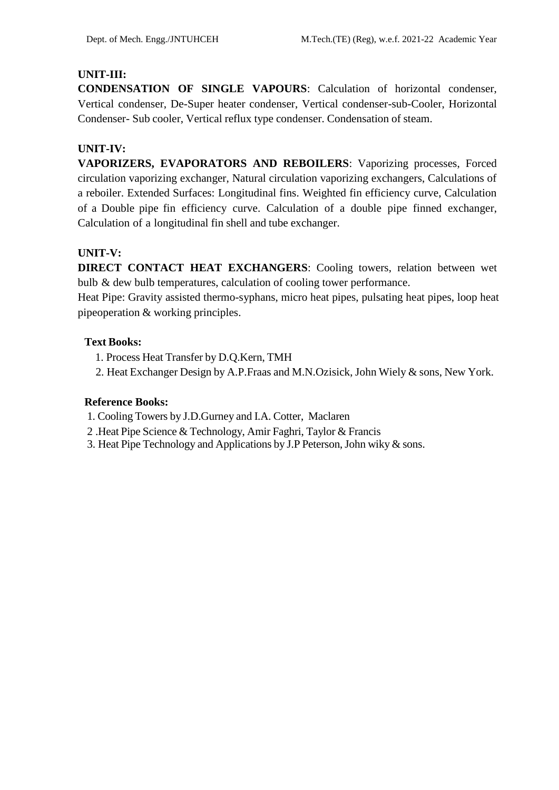## **UNIT-III:**

**CONDENSATION OF SINGLE VAPOURS**: Calculation of horizontal condenser, Vertical condenser, De-Super heater condenser, Vertical condenser-sub-Cooler, Horizontal Condenser- Sub cooler, Vertical reflux type condenser. Condensation of steam.

# **UNIT-IV:**

**VAPORIZERS, EVAPORATORS AND REBOILERS**: Vaporizing processes, Forced circulation vaporizing exchanger, Natural circulation vaporizing exchangers, Calculations of a reboiler. Extended Surfaces: Longitudinal fins. Weighted fin efficiency curve, Calculation of a Double pipe fin efficiency curve. Calculation of a double pipe finned exchanger, Calculation of a longitudinal fin shell and tube exchanger.

## **UNIT-V:**

**DIRECT CONTACT HEAT EXCHANGERS**: Cooling towers, relation between wet bulb & dew bulb temperatures, calculation of cooling tower performance.

Heat Pipe: Gravity assisted thermo-syphans, micro heat pipes, pulsating heat pipes, loop heat pipeoperation & working principles.

## **Text Books:**

- 1. Process Heat Transfer by D.Q.Kern, TMH
- 2. Heat Exchanger Design by A.P.Fraas and M.N.Ozisick, John Wiely & sons, New York.

- 1. Cooling Towers by J.D.Gurney and I.A. Cotter, Maclaren
- 2 .Heat Pipe Science & Technology, Amir Faghri, Taylor & Francis
- 3. Heat Pipe Technology and Applications by J.P Peterson,John wiky & sons.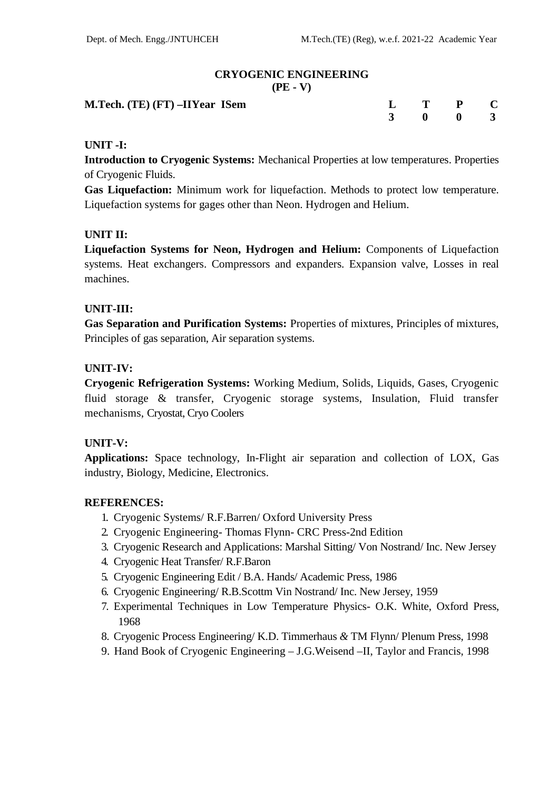#### **CRYOGENIC ENGINEERING (PE - V)**

| M.Tech. (TE) (FT) -IIYear ISem | $L$ T P C |  |  |
|--------------------------------|-----------|--|--|
|                                | 3 0 0 3   |  |  |

## **UNIT -I:**

**Introduction to Cryogenic Systems:** Mechanical Properties at low temperatures. Properties of Cryogenic Fluids.

**Gas Liquefaction:** Minimum work for liquefaction. Methods to protect low temperature. Liquefaction systems for gages other than Neon. Hydrogen and Helium.

## **UNIT II:**

**Liquefaction Systems for Neon, Hydrogen and Helium:** Components of Liquefaction systems. Heat exchangers. Compressors and expanders. Expansion valve, Losses in real machines.

## **UNIT-III:**

**Gas Separation and Purification Systems:** Properties of mixtures, Principles of mixtures, Principles of gas separation, Air separation systems.

## **UNIT-IV:**

**Cryogenic Refrigeration Systems:** Working Medium, Solids, Liquids, Gases, Cryogenic fluid storage & transfer, Cryogenic storage systems, Insulation, Fluid transfer mechanisms, Cryostat, Cryo Coolers

#### **UNIT-V:**

**Applications:** Space technology, In-Flight air separation and collection of LOX, Gas industry, Biology, Medicine, Electronics.

#### **REFERENCES:**

- 1. Cryogenic Systems/ R.F.Barren/ Oxford University Press
- 2. Cryogenic Engineering- Thomas Flynn- CRC Press-2nd Edition
- 3. Cryogenic Research and Applications: Marshal Sitting/ Von Nostrand/ Inc. New Jersey
- 4. Cryogenic Heat Transfer/ R.F.Baron
- 5. Cryogenic Engineering Edit / B.A. Hands/ Academic Press, 1986
- 6. Cryogenic Engineering/ R.B.Scottm Vin Nostrand/ Inc. New Jersey, 1959
- 7. Experimental Techniques in Low Temperature Physics- O.K. White, Oxford Press, 1968
- 8. Cryogenic Process Engineering/ K.D. Timmerhaus *&* TM Flynn/ Plenum Press, 1998
- 9. Hand Book of Cryogenic Engineering J.G.Weisend –II, Taylor and Francis, 1998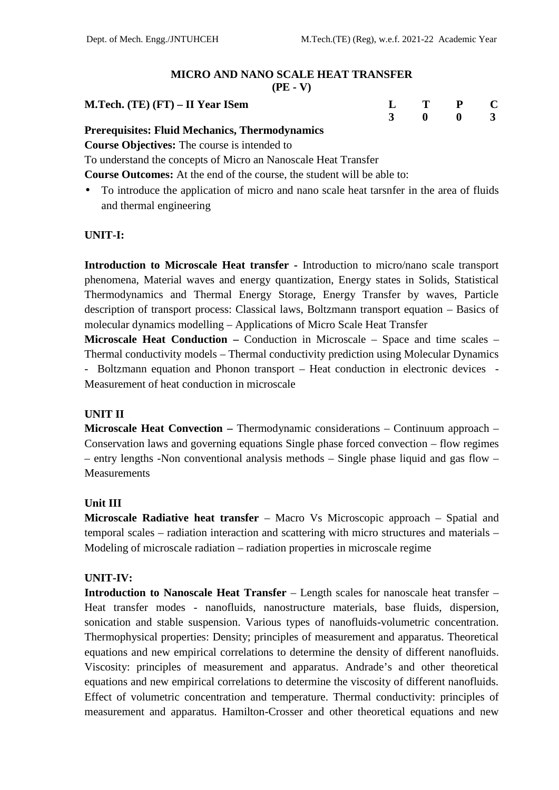#### **MICRO AND NANO SCALE HEAT TRANSFER (PE - V)**

| п |  |
|---|--|
|---|--|

| M. Tech. (TE) (FT) – II Year Isem                    |  | L T P C |  |
|------------------------------------------------------|--|---------|--|
|                                                      |  | 3 0 0 3 |  |
| <b>Dreparticites: Fluid Mechanics Thermedynamics</b> |  |         |  |

# **Prerequisites: Fluid Mechanics, Thermodynamics**

**Course Objectives:** The course is intended to

To understand the concepts of Micro an Nanoscale Heat Transfer

**Course Outcomes:** At the end of the course, the student will be able to:

 To introduce the application of micro and nano scale heat tarsnfer in the area of fluids and thermal engineering

## **UNIT-I:**

**Introduction to Microscale Heat transfer -** Introduction to micro/nano scale transport phenomena, Material waves and energy quantization, Energy states in Solids, Statistical Thermodynamics and Thermal Energy Storage, Energy Transfer by waves, Particle description of transport process: Classical laws, Boltzmann transport equation – Basics of molecular dynamics modelling – Applications of Micro Scale Heat Transfer

**Microscale Heat Conduction –** Conduction in Microscale – Space and time scales – Thermal conductivity models – Thermal conductivity prediction using Molecular Dynamics - Boltzmann equation and Phonon transport – Heat conduction in electronic devices - Measurement of heat conduction in microscale

#### **UNIT II**

**Microscale Heat Convection –** Thermodynamic considerations – Continuum approach – Conservation laws and governing equations Single phase forced convection – flow regimes – entry lengths -Non conventional analysis methods – Single phase liquid and gas flow – Measurements

#### **Unit III**

**Microscale Radiative heat transfer** – Macro Vs Microscopic approach – Spatial and temporal scales – radiation interaction and scattering with micro structures and materials – Modeling of microscale radiation – radiation properties in microscale regime

## **UNIT-IV:**

**Introduction to Nanoscale Heat Transfer** – Length scales for nanoscale heat transfer – Heat transfer modes - nanofluids, nanostructure materials, base fluids, dispersion, sonication and stable suspension. Various types of nanofluids-volumetric concentration. Thermophysical properties: Density; principles of measurement and apparatus. Theoretical equations and new empirical correlations to determine the density of different nanofluids. Viscosity: principles of measurement and apparatus. Andrade's and other theoretical equations and new empirical correlations to determine the viscosity of different nanofluids. Effect of volumetric concentration and temperature. Thermal conductivity: principles of measurement and apparatus. Hamilton-Crosser and other theoretical equations and new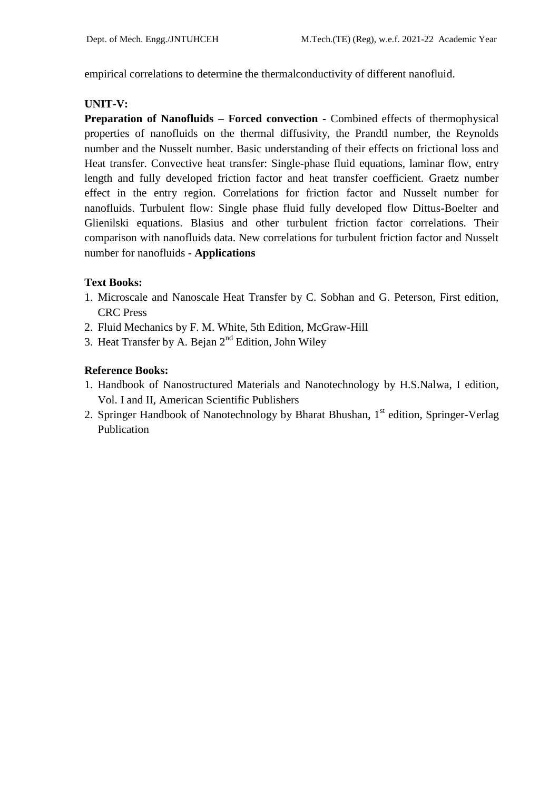empirical correlations to determine the thermalconductivity of different nanofluid.

## **UNIT-V:**

**Preparation of Nanofluids – Forced convection -** Combined effects of thermophysical properties of nanofluids on the thermal diffusivity, the Prandtl number, the Reynolds number and the Nusselt number. Basic understanding of their effects on frictional loss and Heat transfer. Convective heat transfer: Single-phase fluid equations, laminar flow, entry length and fully developed friction factor and heat transfer coefficient. Graetz number effect in the entry region. Correlations for friction factor and Nusselt number for nanofluids. Turbulent flow: Single phase fluid fully developed flow Dittus-Boelter and Glienilski equations. Blasius and other turbulent friction factor correlations. Their comparison with nanofluids data. New correlations for turbulent friction factor and Nusselt number for nanofluids - **Applications**

## **Text Books:**

- 1. Microscale and Nanoscale Heat Transfer by C. Sobhan and G. Peterson, First edition, CRC Press
- 2. Fluid Mechanics by F. M. White, 5th Edition, McGraw-Hill
- 3. Heat Transfer by A. Bejan  $2<sup>nd</sup>$  Edition, John Wiley

- 1. Handbook of Nanostructured Materials and Nanotechnology by H.S.Nalwa, I edition, Vol. I and II, American Scientific Publishers
- 2. Springer Handbook of Nanotechnology by Bharat Bhushan, 1<sup>st</sup> edition, Springer-Verlag Publication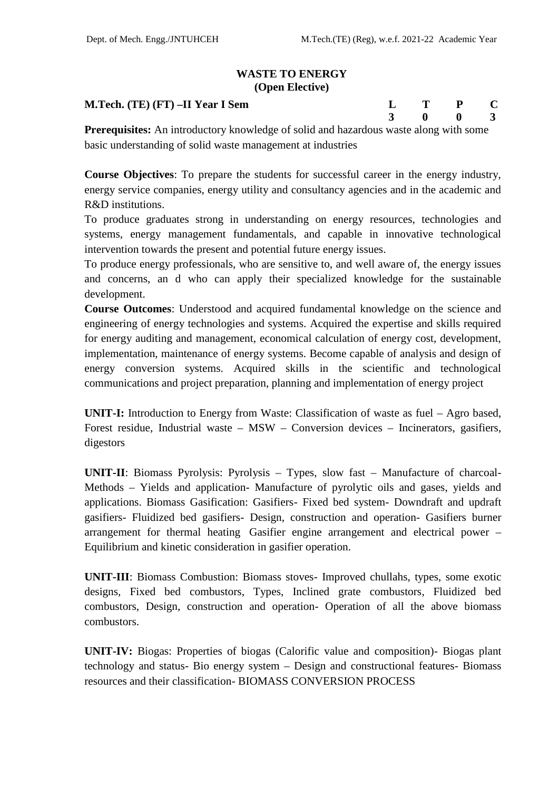## **WASTE TO ENERGY (Open Elective)**

#### **M.Tech. (TE) (FT) –II Year I Sem L T P C**

| $\bf{L}$     | $\bf{T}$ | $\mathbf{P}$            | $\mathbf C$    |  |
|--------------|----------|-------------------------|----------------|--|
| $3 \qquad 0$ |          | $\overline{\mathbf{0}}$ | $\overline{3}$ |  |
|              |          |                         |                |  |

**Prerequisites:** An introductory knowledge of solid and hazardous waste along with some basic understanding of solid waste management at industries

**Course Objectives**: To prepare the students for successful career in the energy industry, energy service companies, energy utility and consultancy agencies and in the academic and R&D institutions.

To produce graduates strong in understanding on energy resources, technologies and systems, energy management fundamentals, and capable in innovative technological intervention towards the present and potential future energy issues.

To produce energy professionals, who are sensitive to, and well aware of, the energy issues and concerns, an d who can apply their specialized knowledge for the sustainable development.

**Course Outcomes**: Understood and acquired fundamental knowledge on the science and engineering of energy technologies and systems. Acquired the expertise and skills required for energy auditing and management, economical calculation of energy cost, development, implementation, maintenance of energy systems. Become capable of analysis and design of energy conversion systems. Acquired skills in the scientific and technological communications and project preparation, planning and implementation of energy project

**UNIT-I:** Introduction to Energy from Waste: Classification of waste as fuel – Agro based, Forest residue, Industrial waste – MSW – Conversion devices – Incinerators, gasifiers, digestors

**UNIT-II**: Biomass Pyrolysis: Pyrolysis – Types, slow fast – Manufacture of charcoal- Methods – Yields and application- Manufacture of pyrolytic oils and gases, yields and applications. Biomass Gasification: Gasifiers- Fixed bed system- Downdraft and updraft gasifiers- Fluidized bed gasifiers- Design, construction and operation- Gasifiers burner arrangement for thermal heating Gasifier engine arrangement and electrical power – Equilibrium and kinetic consideration in gasifier operation.

**UNIT-III**: Biomass Combustion: Biomass stoves- Improved chullahs, types, some exotic designs, Fixed bed combustors, Types, Inclined grate combustors, Fluidized bed combustors, Design, construction and operation- Operation of all the above biomass combustors.

**UNIT-IV:** Biogas: Properties of biogas (Calorific value and composition)- Biogas plant technology and status- Bio energy system – Design and constructional features- Biomass resources and their classification- BIOMASS CONVERSION PROCESS